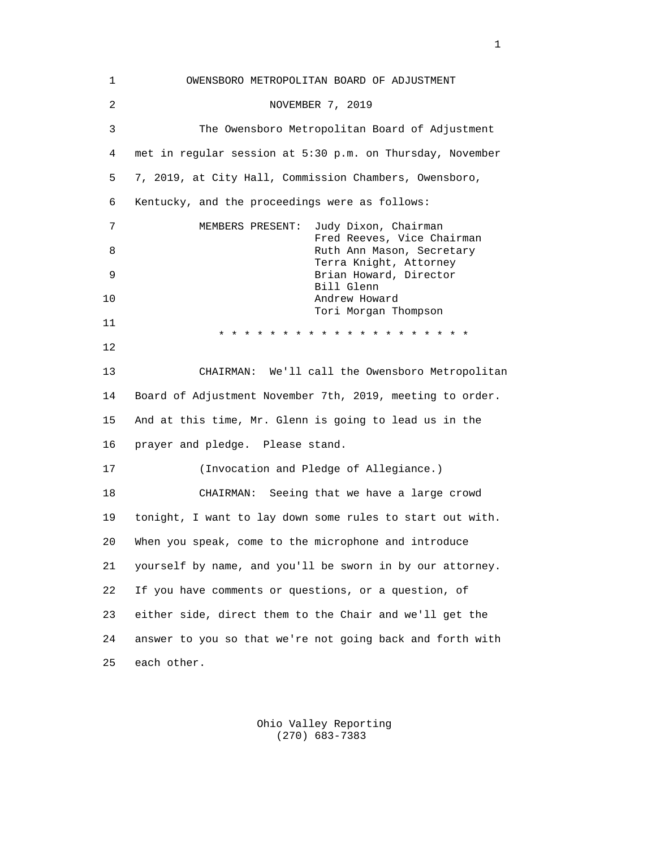| 1  | OWENSBORO METROPOLITAN BOARD OF ADJUSTMENT                             |
|----|------------------------------------------------------------------------|
| 2  | NOVEMBER 7, 2019                                                       |
| 3  | The Owensboro Metropolitan Board of Adjustment                         |
| 4  | met in regular session at 5:30 p.m. on Thursday, November              |
| 5  | 7, 2019, at City Hall, Commission Chambers, Owensboro,                 |
| 6  | Kentucky, and the proceedings were as follows:                         |
| 7  | MEMBERS PRESENT:<br>Judy Dixon, Chairman<br>Fred Reeves, Vice Chairman |
| 8  | Ruth Ann Mason, Secretary<br>Terra Knight, Attorney                    |
| 9  | Brian Howard, Director<br>Bill Glenn                                   |
| 10 | Andrew Howard<br>Tori Morgan Thompson                                  |
| 11 | * * * * * * * * * * * * * * * * *                                      |
| 12 |                                                                        |
| 13 | CHAIRMAN: We'll call the Owensboro Metropolitan                        |
| 14 | Board of Adjustment November 7th, 2019, meeting to order.              |
| 15 | And at this time, Mr. Glenn is going to lead us in the                 |
| 16 | prayer and pledge. Please stand.                                       |
| 17 | (Invocation and Pledge of Allegiance.)                                 |
| 18 | CHAIRMAN: Seeing that we have a large crowd                            |
| 19 | tonight, I want to lay down some rules to start out with.              |
| 20 | When you speak, come to the microphone and introduce                   |
| 21 | yourself by name, and you'll be sworn in by our attorney.              |
| 22 | If you have comments or questions, or a question, of                   |
| 23 | either side, direct them to the Chair and we'll get the                |
| 24 | answer to you so that we're not going back and forth with              |
| 25 | each other.                                                            |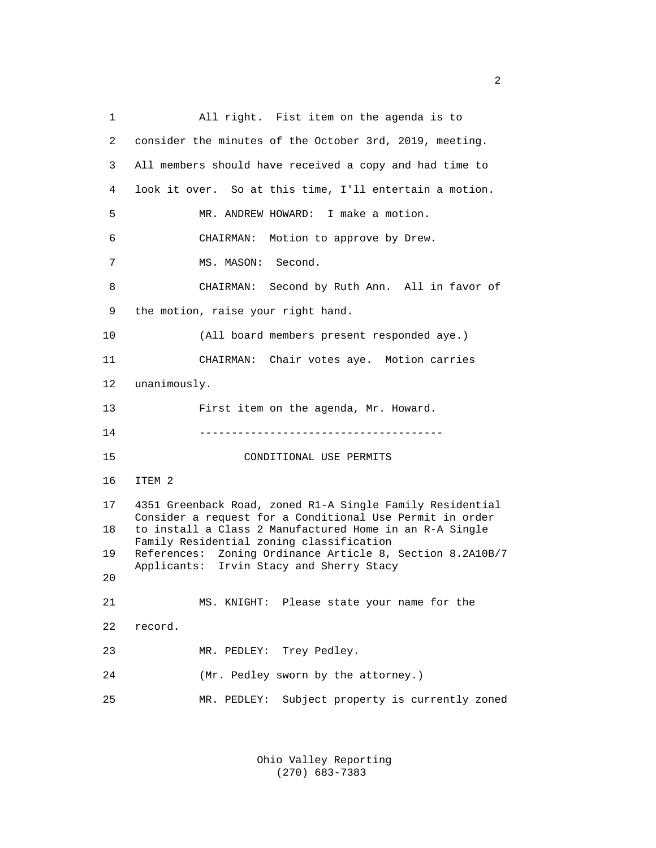1 All right. Fist item on the agenda is to 2 consider the minutes of the October 3rd, 2019, meeting. 3 All members should have received a copy and had time to 4 look it over. So at this time, I'll entertain a motion. 5 MR. ANDREW HOWARD: I make a motion. 6 CHAIRMAN: Motion to approve by Drew. 7 MS. MASON: Second. 8 CHAIRMAN: Second by Ruth Ann. All in favor of 9 the motion, raise your right hand. 10 (All board members present responded aye.) 11 CHAIRMAN: Chair votes aye. Motion carries 12 unanimously. 13 First item on the agenda, Mr. Howard. 14 -------------------------------------- 15 CONDITIONAL USE PERMITS 16 ITEM 2 17 4351 Greenback Road, zoned R1-A Single Family Residential Consider a request for a Conditional Use Permit in order<br>18 to install a Class 2 Manufactured Home in an R-A Single to install a Class 2 Manufactured Home in an R-A Single Family Residential zoning classification<br>19 References: Zoning Ordinance Article 8, References: Zoning Ordinance Article 8, Section 8.2A10B/7 Applicants: Irvin Stacy and Sherry Stacy 20 21 MS. KNIGHT: Please state your name for the 22 record. 23 MR. PEDLEY: Trey Pedley. 24 (Mr. Pedley sworn by the attorney.) 25 MR. PEDLEY: Subject property is currently zoned

> Ohio Valley Reporting (270) 683-7383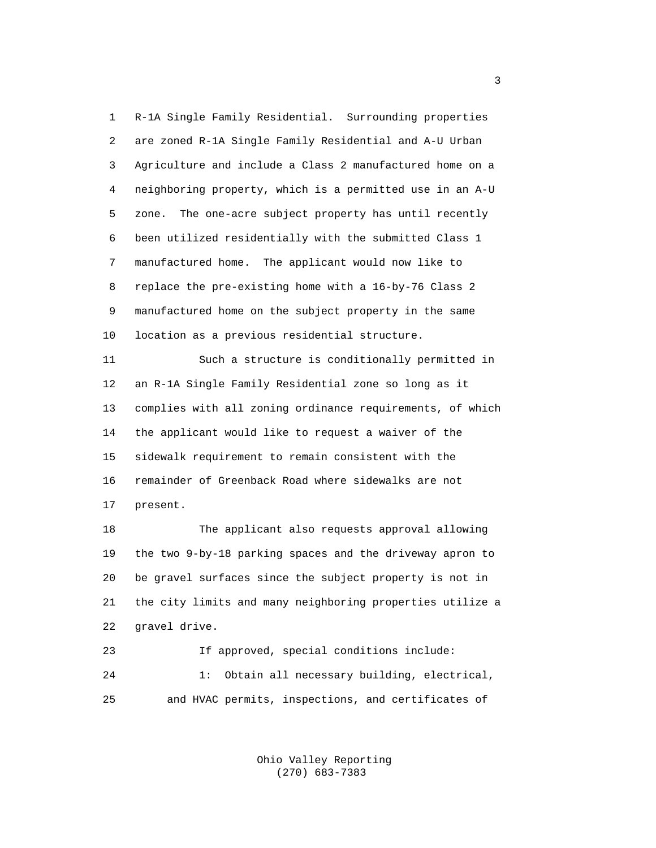1 R-1A Single Family Residential. Surrounding properties 2 are zoned R-1A Single Family Residential and A-U Urban 3 Agriculture and include a Class 2 manufactured home on a 4 neighboring property, which is a permitted use in an A-U 5 zone. The one-acre subject property has until recently 6 been utilized residentially with the submitted Class 1 7 manufactured home. The applicant would now like to 8 replace the pre-existing home with a 16-by-76 Class 2 9 manufactured home on the subject property in the same 10 location as a previous residential structure.

 11 Such a structure is conditionally permitted in 12 an R-1A Single Family Residential zone so long as it 13 complies with all zoning ordinance requirements, of which 14 the applicant would like to request a waiver of the 15 sidewalk requirement to remain consistent with the 16 remainder of Greenback Road where sidewalks are not 17 present.

 18 The applicant also requests approval allowing 19 the two 9-by-18 parking spaces and the driveway apron to 20 be gravel surfaces since the subject property is not in 21 the city limits and many neighboring properties utilize a 22 gravel drive.

 23 If approved, special conditions include: 24 1: Obtain all necessary building, electrical, 25 and HVAC permits, inspections, and certificates of

> Ohio Valley Reporting (270) 683-7383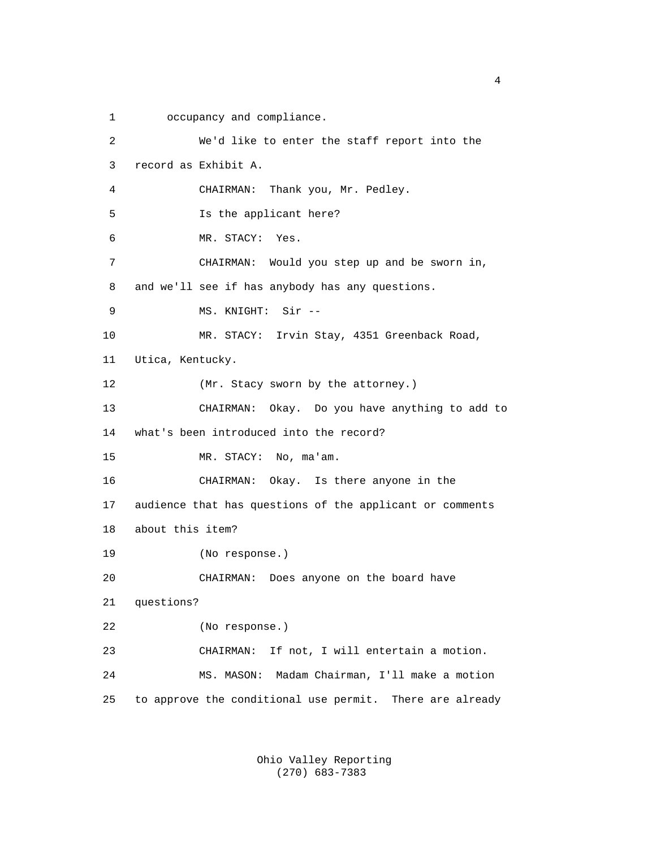1 occupancy and compliance.

 2 We'd like to enter the staff report into the 3 record as Exhibit A. 4 CHAIRMAN: Thank you, Mr. Pedley. 5 Is the applicant here? 6 MR. STACY: Yes. 7 CHAIRMAN: Would you step up and be sworn in, 8 and we'll see if has anybody has any questions. 9 MS. KNIGHT: Sir -- 10 MR. STACY: Irvin Stay, 4351 Greenback Road, 11 Utica, Kentucky. 12 (Mr. Stacy sworn by the attorney.) 13 CHAIRMAN: Okay. Do you have anything to add to 14 what's been introduced into the record? 15 MR. STACY: No, ma'am. 16 CHAIRMAN: Okay. Is there anyone in the 17 audience that has questions of the applicant or comments 18 about this item? 19 (No response.) 20 CHAIRMAN: Does anyone on the board have 21 questions? 22 (No response.) 23 CHAIRMAN: If not, I will entertain a motion. 24 MS. MASON: Madam Chairman, I'll make a motion 25 to approve the conditional use permit. There are already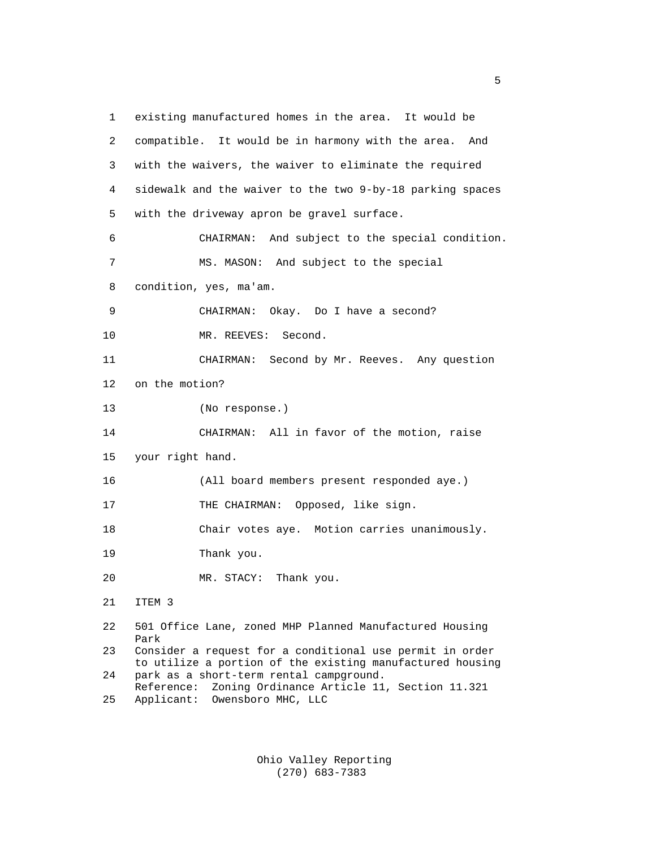1 existing manufactured homes in the area. It would be 2 compatible. It would be in harmony with the area. And 3 with the waivers, the waiver to eliminate the required 4 sidewalk and the waiver to the two 9-by-18 parking spaces 5 with the driveway apron be gravel surface. 6 CHAIRMAN: And subject to the special condition. 7 MS. MASON: And subject to the special 8 condition, yes, ma'am. 9 CHAIRMAN: Okay. Do I have a second? 10 MR. REEVES: Second. 11 CHAIRMAN: Second by Mr. Reeves. Any question 12 on the motion? 13 (No response.) 14 CHAIRMAN: All in favor of the motion, raise 15 your right hand. 16 (All board members present responded aye.) 17 THE CHAIRMAN: Opposed, like sign. 18 Chair votes aye. Motion carries unanimously. 19 Thank you. 20 MR. STACY: Thank you. 21 ITEM 3 22 501 Office Lane, zoned MHP Planned Manufactured Housing Park<br>23 Cons: Consider a request for a conditional use permit in order to utilize a portion of the existing manufactured housing<br>24 park as a short-term rental campground. park as a short-term rental campground. Reference: Zoning Ordinance Article 11, Section 11.321<br>25 Applicant: Owensboro MHC. LLC Applicant: Owensboro MHC, LLC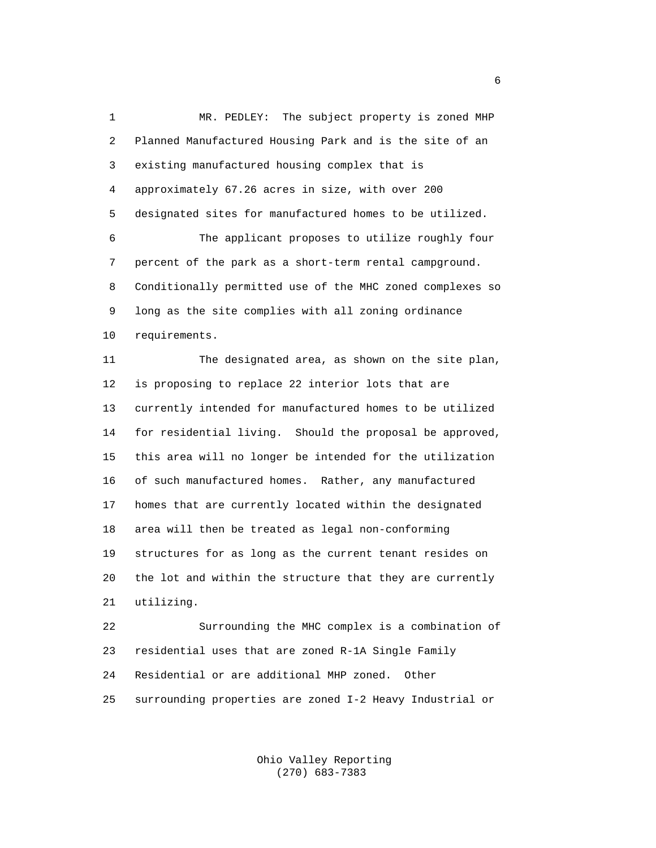1 MR. PEDLEY: The subject property is zoned MHP 2 Planned Manufactured Housing Park and is the site of an 3 existing manufactured housing complex that is 4 approximately 67.26 acres in size, with over 200 5 designated sites for manufactured homes to be utilized. 6 The applicant proposes to utilize roughly four 7 percent of the park as a short-term rental campground. 8 Conditionally permitted use of the MHC zoned complexes so 9 long as the site complies with all zoning ordinance 10 requirements. 11 The designated area, as shown on the site plan, 12 is proposing to replace 22 interior lots that are 13 currently intended for manufactured homes to be utilized 14 for residential living. Should the proposal be approved, 15 this area will no longer be intended for the utilization 16 of such manufactured homes. Rather, any manufactured 17 homes that are currently located within the designated 18 area will then be treated as legal non-conforming 19 structures for as long as the current tenant resides on 20 the lot and within the structure that they are currently 21 utilizing. 22 Surrounding the MHC complex is a combination of 23 residential uses that are zoned R-1A Single Family 24 Residential or are additional MHP zoned. Other 25 surrounding properties are zoned I-2 Heavy Industrial or

> Ohio Valley Reporting (270) 683-7383

entration of the contract of the contract of the contract of the contract of the contract of the contract of t<br>The contract of the contract of the contract of the contract of the contract of the contract of the contract o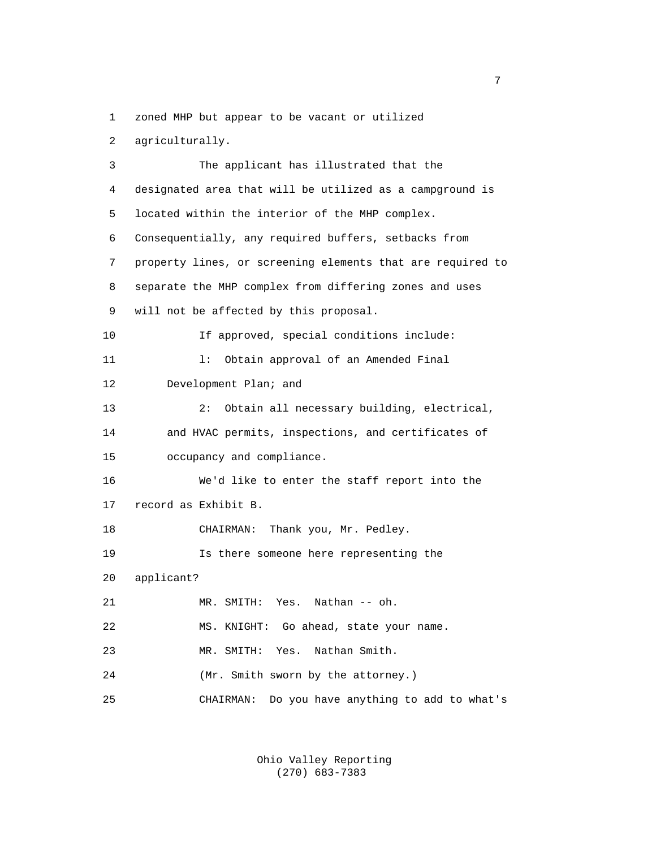1 zoned MHP but appear to be vacant or utilized

```
 2 agriculturally.
```
 3 The applicant has illustrated that the 4 designated area that will be utilized as a campground is 5 located within the interior of the MHP complex. 6 Consequentially, any required buffers, setbacks from 7 property lines, or screening elements that are required to 8 separate the MHP complex from differing zones and uses 9 will not be affected by this proposal. 10 If approved, special conditions include: 11 l: Obtain approval of an Amended Final 12 Development Plan; and 13 2: Obtain all necessary building, electrical, 14 and HVAC permits, inspections, and certificates of 15 occupancy and compliance. 16 We'd like to enter the staff report into the 17 record as Exhibit B. 18 CHAIRMAN: Thank you, Mr. Pedley. 19 Is there someone here representing the 20 applicant? 21 MR. SMITH: Yes. Nathan -- oh. 22 MS. KNIGHT: Go ahead, state your name. 23 MR. SMITH: Yes. Nathan Smith. 24 (Mr. Smith sworn by the attorney.) 25 CHAIRMAN: Do you have anything to add to what's

> Ohio Valley Reporting (270) 683-7383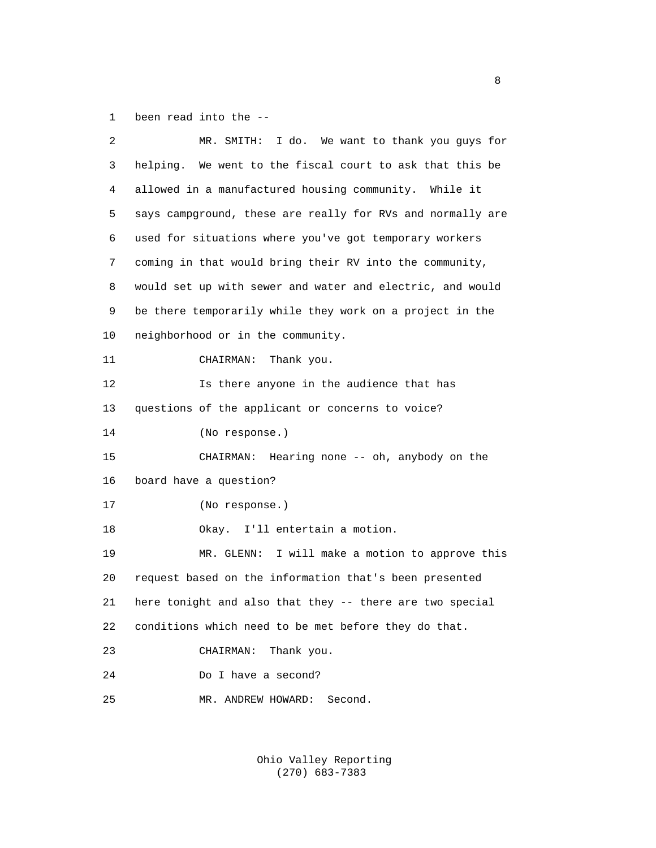1 been read into the --

| 2  | MR. SMITH: I do. We want to thank you guys for             |
|----|------------------------------------------------------------|
| 3  | helping. We went to the fiscal court to ask that this be   |
| 4  | allowed in a manufactured housing community. While it      |
| 5  | says campground, these are really for RVs and normally are |
| 6  | used for situations where you've got temporary workers     |
| 7  | coming in that would bring their RV into the community,    |
| 8  | would set up with sewer and water and electric, and would  |
| 9  | be there temporarily while they work on a project in the   |
| 10 | neighborhood or in the community.                          |
| 11 | Thank you.<br>CHAIRMAN:                                    |
| 12 | Is there anyone in the audience that has                   |
| 13 | questions of the applicant or concerns to voice?           |
| 14 | (No response.)                                             |
| 15 | Hearing none -- oh, anybody on the<br>CHAIRMAN:            |
| 16 | board have a question?                                     |
| 17 | (No response.)                                             |
| 18 | Okay. I'll entertain a motion.                             |
| 19 | MR. GLENN: I will make a motion to approve this            |
| 20 | request based on the information that's been presented     |
| 21 | here tonight and also that they -- there are two special   |
| 22 | conditions which need to be met before they do that.       |
| 23 | Thank you.<br>CHAIRMAN:                                    |
| 24 | Do I have a second?                                        |
|    |                                                            |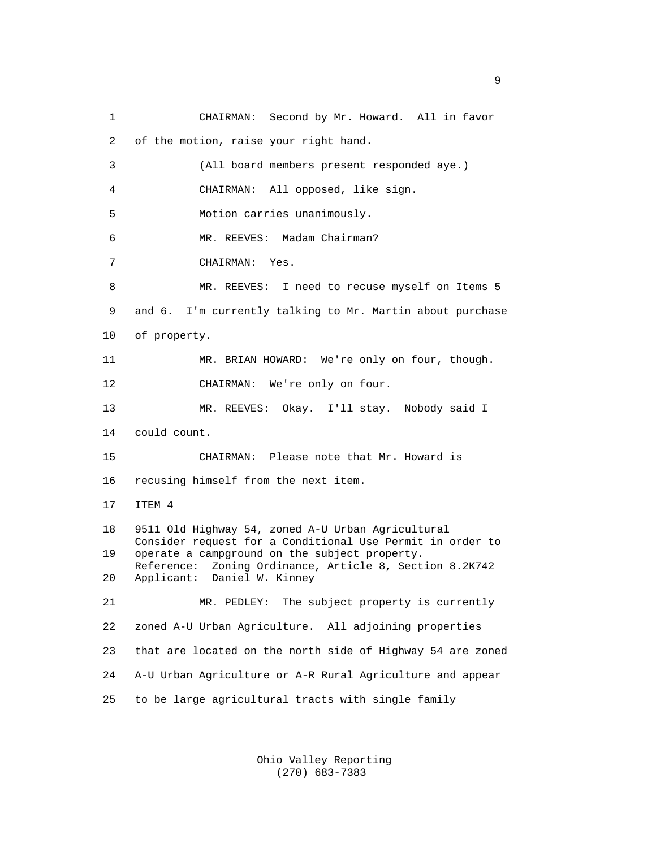1 CHAIRMAN: Second by Mr. Howard. All in favor 2 of the motion, raise your right hand. 3 (All board members present responded aye.) 4 CHAIRMAN: All opposed, like sign. 5 Motion carries unanimously. 6 MR. REEVES: Madam Chairman? 7 CHAIRMAN: Yes. 8 MR. REEVES: I need to recuse myself on Items 5 9 and 6. I'm currently talking to Mr. Martin about purchase 10 of property. 11 MR. BRIAN HOWARD: We're only on four, though. 12 CHAIRMAN: We're only on four. 13 MR. REEVES: Okay. I'll stay. Nobody said I 14 could count. 15 CHAIRMAN: Please note that Mr. Howard is 16 recusing himself from the next item. 17 ITEM 4 18 9511 Old Highway 54, zoned A-U Urban Agricultural Consider request for a Conditional Use Permit in order to<br>19 operate a campground on the subject property. operate a campground on the subject property. Reference: Zoning Ordinance, Article 8, Section 8.2K742<br>20 Applicant: Daniel W. Kinney Applicant: Daniel W. Kinney 21 MR. PEDLEY: The subject property is currently 22 zoned A-U Urban Agriculture. All adjoining properties 23 that are located on the north side of Highway 54 are zoned 24 A-U Urban Agriculture or A-R Rural Agriculture and appear 25 to be large agricultural tracts with single family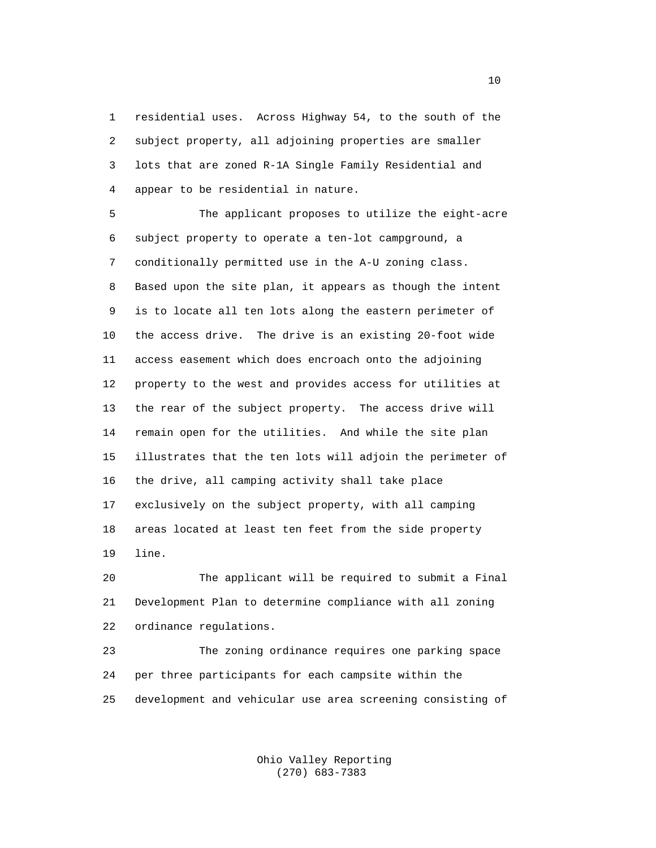1 residential uses. Across Highway 54, to the south of the 2 subject property, all adjoining properties are smaller 3 lots that are zoned R-1A Single Family Residential and 4 appear to be residential in nature.

 5 The applicant proposes to utilize the eight-acre 6 subject property to operate a ten-lot campground, a 7 conditionally permitted use in the A-U zoning class. 8 Based upon the site plan, it appears as though the intent 9 is to locate all ten lots along the eastern perimeter of 10 the access drive. The drive is an existing 20-foot wide 11 access easement which does encroach onto the adjoining 12 property to the west and provides access for utilities at 13 the rear of the subject property. The access drive will 14 remain open for the utilities. And while the site plan 15 illustrates that the ten lots will adjoin the perimeter of 16 the drive, all camping activity shall take place 17 exclusively on the subject property, with all camping 18 areas located at least ten feet from the side property 19 line.

 20 The applicant will be required to submit a Final 21 Development Plan to determine compliance with all zoning 22 ordinance regulations.

 23 The zoning ordinance requires one parking space 24 per three participants for each campsite within the 25 development and vehicular use area screening consisting of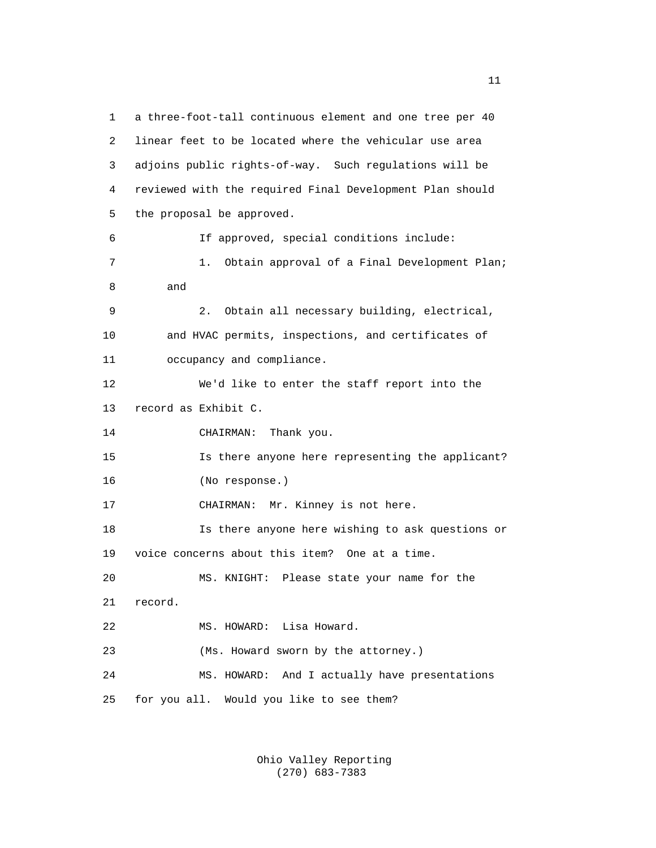1 a three-foot-tall continuous element and one tree per 40 2 linear feet to be located where the vehicular use area 3 adjoins public rights-of-way. Such regulations will be 4 reviewed with the required Final Development Plan should 5 the proposal be approved. 6 If approved, special conditions include: 7 1. Obtain approval of a Final Development Plan; 8 and 9 2. Obtain all necessary building, electrical, 10 and HVAC permits, inspections, and certificates of 11 occupancy and compliance. 12 We'd like to enter the staff report into the 13 record as Exhibit C. 14 CHAIRMAN: Thank you. 15 Is there anyone here representing the applicant? 16 (No response.) 17 CHAIRMAN: Mr. Kinney is not here. 18 Is there anyone here wishing to ask questions or 19 voice concerns about this item? One at a time. 20 MS. KNIGHT: Please state your name for the 21 record. 22 MS. HOWARD: Lisa Howard. 23 (Ms. Howard sworn by the attorney.) 24 MS. HOWARD: And I actually have presentations 25 for you all. Would you like to see them?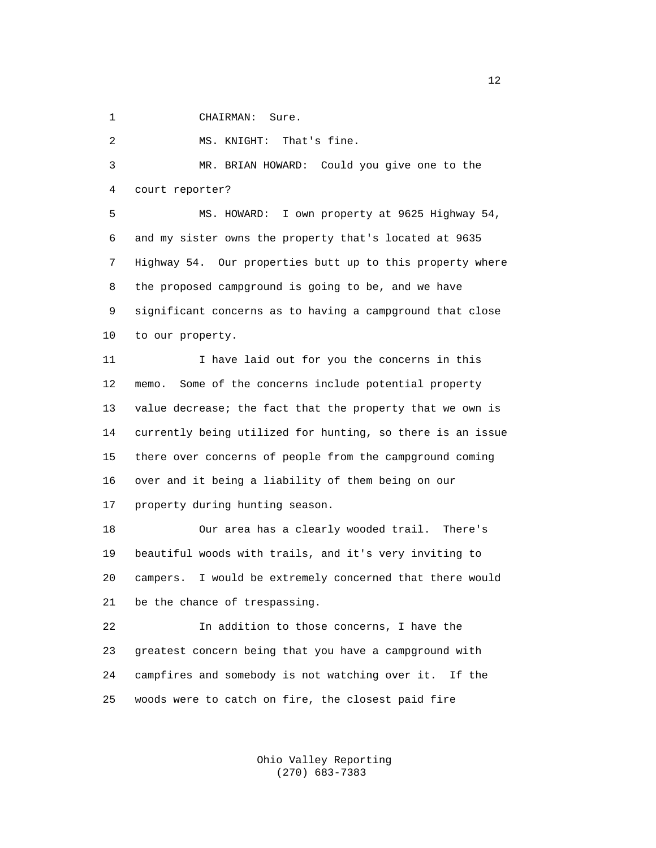1 CHAIRMAN: Sure.

2 MS. KNIGHT: That's fine.

 3 MR. BRIAN HOWARD: Could you give one to the 4 court reporter?

 5 MS. HOWARD: I own property at 9625 Highway 54, 6 and my sister owns the property that's located at 9635 7 Highway 54. Our properties butt up to this property where 8 the proposed campground is going to be, and we have 9 significant concerns as to having a campground that close 10 to our property.

 11 I have laid out for you the concerns in this 12 memo. Some of the concerns include potential property 13 value decrease; the fact that the property that we own is 14 currently being utilized for hunting, so there is an issue 15 there over concerns of people from the campground coming 16 over and it being a liability of them being on our 17 property during hunting season.

 18 Our area has a clearly wooded trail. There's 19 beautiful woods with trails, and it's very inviting to 20 campers. I would be extremely concerned that there would 21 be the chance of trespassing.

 22 In addition to those concerns, I have the 23 greatest concern being that you have a campground with 24 campfires and somebody is not watching over it. If the 25 woods were to catch on fire, the closest paid fire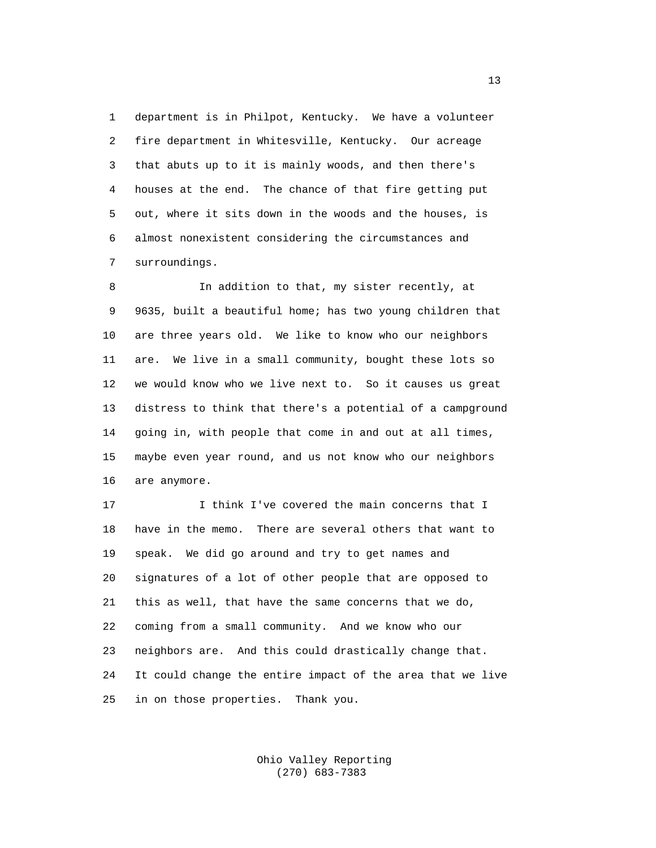1 department is in Philpot, Kentucky. We have a volunteer 2 fire department in Whitesville, Kentucky. Our acreage 3 that abuts up to it is mainly woods, and then there's 4 houses at the end. The chance of that fire getting put 5 out, where it sits down in the woods and the houses, is 6 almost nonexistent considering the circumstances and 7 surroundings.

 8 In addition to that, my sister recently, at 9 9635, built a beautiful home; has two young children that 10 are three years old. We like to know who our neighbors 11 are. We live in a small community, bought these lots so 12 we would know who we live next to. So it causes us great 13 distress to think that there's a potential of a campground 14 going in, with people that come in and out at all times, 15 maybe even year round, and us not know who our neighbors 16 are anymore.

17 17 I think I've covered the main concerns that I 18 have in the memo. There are several others that want to 19 speak. We did go around and try to get names and 20 signatures of a lot of other people that are opposed to 21 this as well, that have the same concerns that we do, 22 coming from a small community. And we know who our 23 neighbors are. And this could drastically change that. 24 It could change the entire impact of the area that we live 25 in on those properties. Thank you.

> Ohio Valley Reporting (270) 683-7383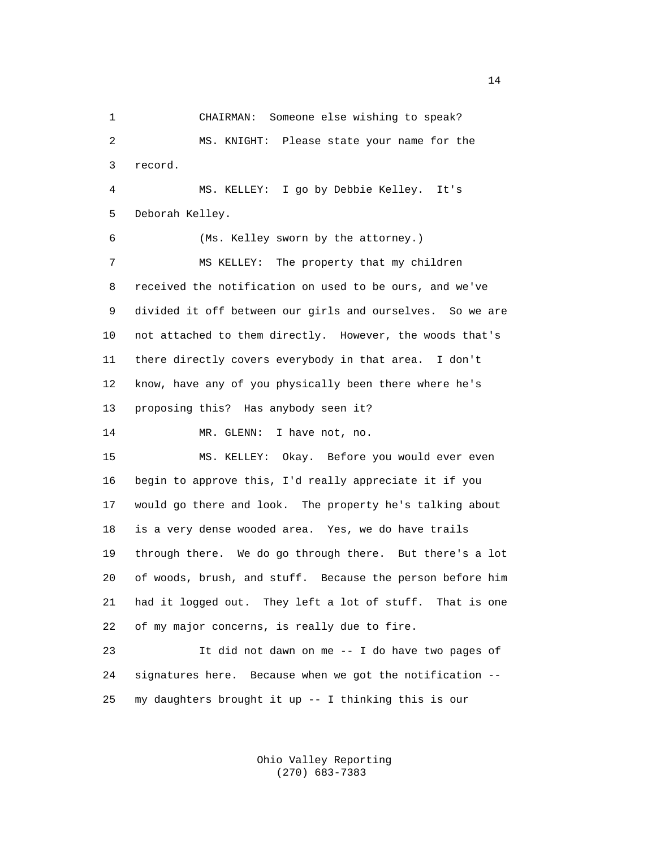1 CHAIRMAN: Someone else wishing to speak? 2 MS. KNIGHT: Please state your name for the 3 record. 4 MS. KELLEY: I go by Debbie Kelley. It's 5 Deborah Kelley. 6 (Ms. Kelley sworn by the attorney.) 7 MS KELLEY: The property that my children 8 received the notification on used to be ours, and we've 9 divided it off between our girls and ourselves. So we are 10 not attached to them directly. However, the woods that's 11 there directly covers everybody in that area. I don't 12 know, have any of you physically been there where he's 13 proposing this? Has anybody seen it? 14 MR. GLENN: I have not, no. 15 MS. KELLEY: Okay. Before you would ever even 16 begin to approve this, I'd really appreciate it if you 17 would go there and look. The property he's talking about 18 is a very dense wooded area. Yes, we do have trails 19 through there. We do go through there. But there's a lot 20 of woods, brush, and stuff. Because the person before him 21 had it logged out. They left a lot of stuff. That is one 22 of my major concerns, is really due to fire. 23 It did not dawn on me -- I do have two pages of 24 signatures here. Because when we got the notification -- 25 my daughters brought it up -- I thinking this is our

> Ohio Valley Reporting (270) 683-7383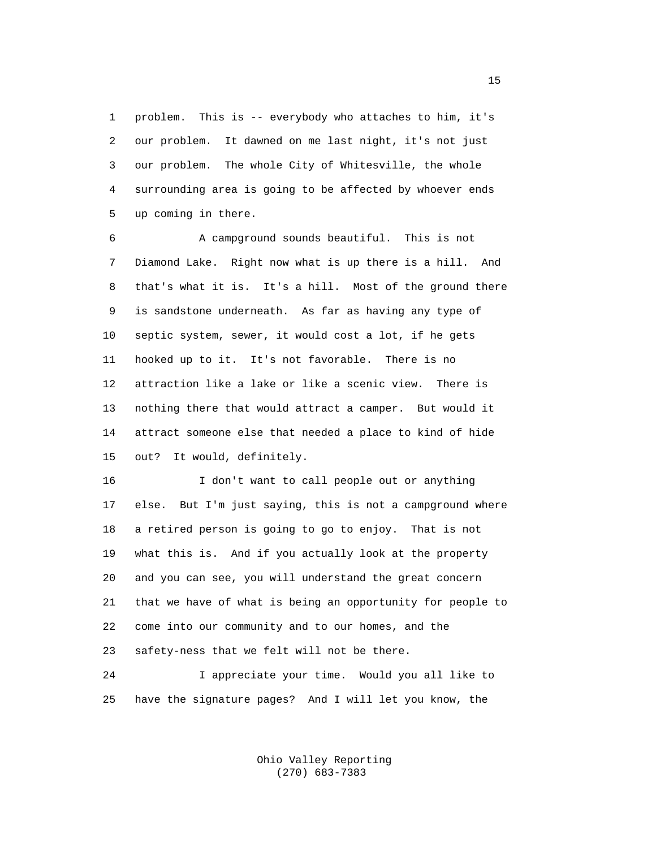1 problem. This is -- everybody who attaches to him, it's 2 our problem. It dawned on me last night, it's not just 3 our problem. The whole City of Whitesville, the whole 4 surrounding area is going to be affected by whoever ends 5 up coming in there.

 6 A campground sounds beautiful. This is not 7 Diamond Lake. Right now what is up there is a hill. And 8 that's what it is. It's a hill. Most of the ground there 9 is sandstone underneath. As far as having any type of 10 septic system, sewer, it would cost a lot, if he gets 11 hooked up to it. It's not favorable. There is no 12 attraction like a lake or like a scenic view. There is 13 nothing there that would attract a camper. But would it 14 attract someone else that needed a place to kind of hide 15 out? It would, definitely.

 16 I don't want to call people out or anything 17 else. But I'm just saying, this is not a campground where 18 a retired person is going to go to enjoy. That is not 19 what this is. And if you actually look at the property 20 and you can see, you will understand the great concern 21 that we have of what is being an opportunity for people to 22 come into our community and to our homes, and the 23 safety-ness that we felt will not be there.

 24 I appreciate your time. Would you all like to 25 have the signature pages? And I will let you know, the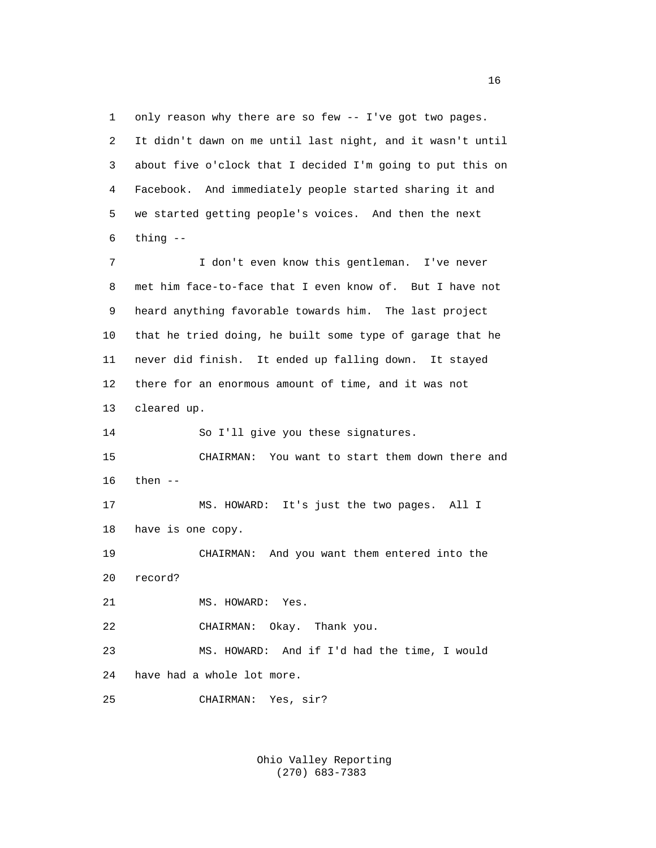1 only reason why there are so few -- I've got two pages. 2 It didn't dawn on me until last night, and it wasn't until 3 about five o'clock that I decided I'm going to put this on 4 Facebook. And immediately people started sharing it and 5 we started getting people's voices. And then the next  $6$  thing  $-$ 

 7 I don't even know this gentleman. I've never 8 met him face-to-face that I even know of. But I have not 9 heard anything favorable towards him. The last project 10 that he tried doing, he built some type of garage that he 11 never did finish. It ended up falling down. It stayed 12 there for an enormous amount of time, and it was not 13 cleared up.

14 So I'll give you these signatures.

 15 CHAIRMAN: You want to start them down there and 16 then --

 17 MS. HOWARD: It's just the two pages. All I 18 have is one copy.

 19 CHAIRMAN: And you want them entered into the 20 record?

21 MS. HOWARD: Yes.

22 CHAIRMAN: Okay. Thank you.

 23 MS. HOWARD: And if I'd had the time, I would 24 have had a whole lot more.

25 CHAIRMAN: Yes, sir?

 Ohio Valley Reporting (270) 683-7383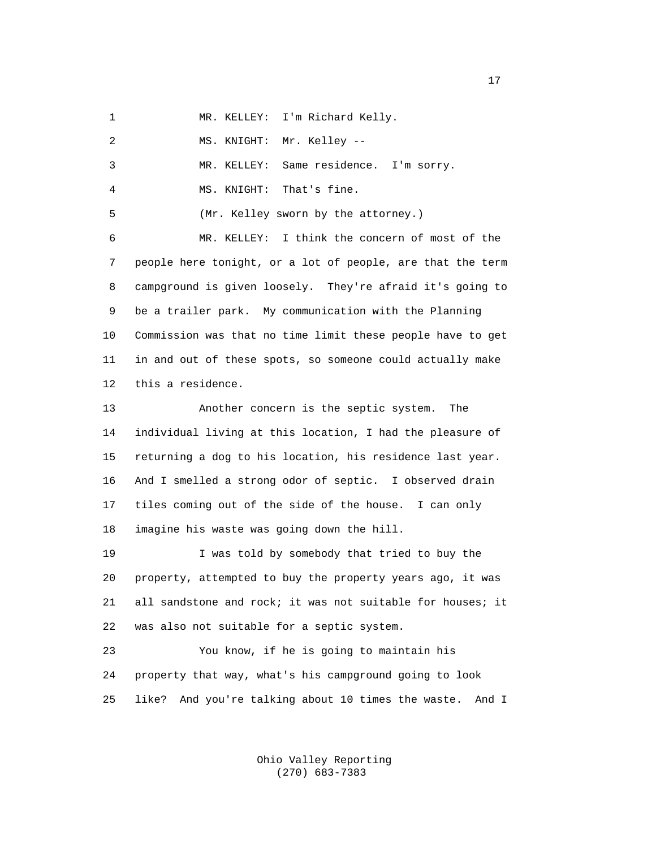1 MR. KELLEY: I'm Richard Kelly.

| 2               | Mr. Kelley --<br>MS. KNIGHT:                                   |
|-----------------|----------------------------------------------------------------|
| 3               | MR. KELLEY: Same residence. I'm sorry.                         |
| 4               | MS. KNIGHT: That's fine.                                       |
| 5               | (Mr. Kelley sworn by the attorney.)                            |
| 6               | MR. KELLEY: I think the concern of most of the                 |
| 7               | people here tonight, or a lot of people, are that the term     |
| 8               | campground is given loosely. They're afraid it's going to      |
| 9               | be a trailer park. My communication with the Planning          |
| 10              | Commission was that no time limit these people have to get     |
| 11              | in and out of these spots, so someone could actually make      |
| 12              | this a residence.                                              |
| 13              | Another concern is the septic system. The                      |
| 14              | individual living at this location, I had the pleasure of      |
| 15 <sub>2</sub> | returning a dog to his location, his residence last year.      |
| 16              | And I smelled a strong odor of septic. I observed drain        |
| 17              | tiles coming out of the side of the house. I can only          |
| 18              | imagine his waste was going down the hill.                     |
| 19              | I was told by somebody that tried to buy the                   |
| 20              | property, attempted to buy the property years ago, it was      |
| 21              | all sandstone and rock; it was not suitable for houses; it     |
| 22              | was also not suitable for a septic system.                     |
| 23              | You know, if he is going to maintain his                       |
| 24              | property that way, what's his campground going to look         |
| 25              | like?<br>And you're talking about 10 times the waste.<br>And I |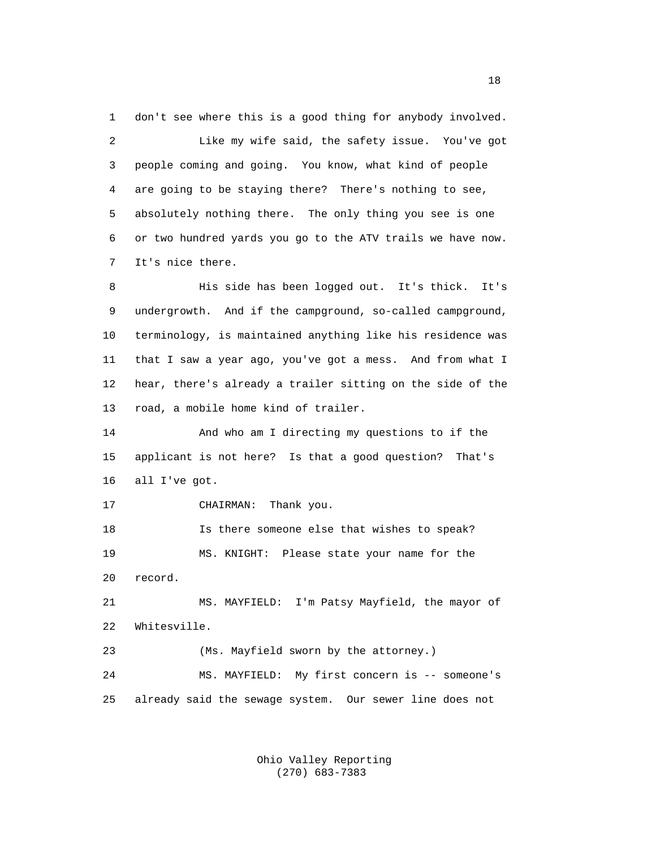1 don't see where this is a good thing for anybody involved. 2 Like my wife said, the safety issue. You've got 3 people coming and going. You know, what kind of people 4 are going to be staying there? There's nothing to see, 5 absolutely nothing there. The only thing you see is one 6 or two hundred yards you go to the ATV trails we have now. 7 It's nice there.

 8 His side has been logged out. It's thick. It's 9 undergrowth. And if the campground, so-called campground, 10 terminology, is maintained anything like his residence was 11 that I saw a year ago, you've got a mess. And from what I 12 hear, there's already a trailer sitting on the side of the 13 road, a mobile home kind of trailer.

 14 And who am I directing my questions to if the 15 applicant is not here? Is that a good question? That's 16 all I've got.

17 CHAIRMAN: Thank you.

 18 Is there someone else that wishes to speak? 19 MS. KNIGHT: Please state your name for the 20 record. 21 MS. MAYFIELD: I'm Patsy Mayfield, the mayor of

22 Whitesville.

 23 (Ms. Mayfield sworn by the attorney.) 24 MS. MAYFIELD: My first concern is -- someone's 25 already said the sewage system. Our sewer line does not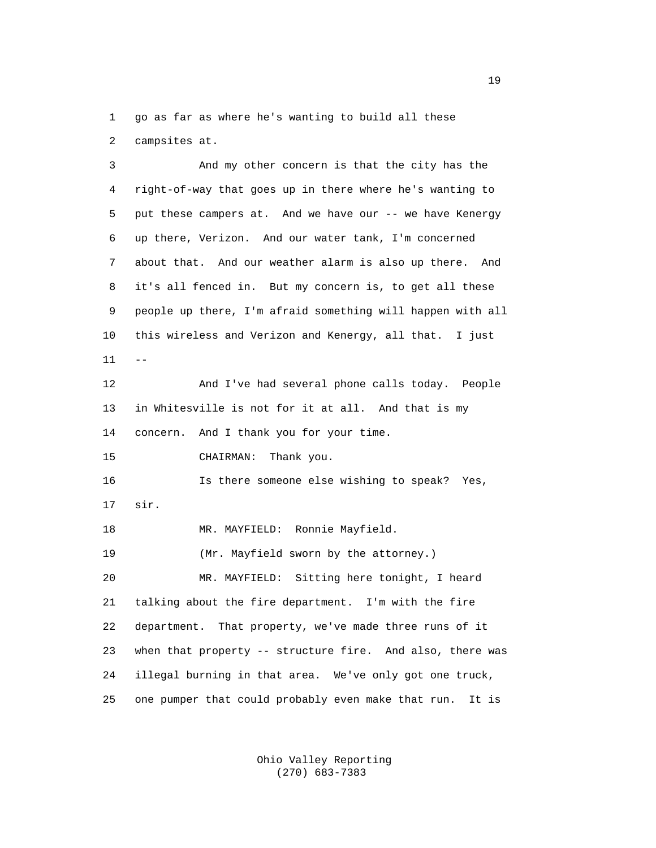1 go as far as where he's wanting to build all these

2 campsites at.

 3 And my other concern is that the city has the 4 right-of-way that goes up in there where he's wanting to 5 put these campers at. And we have our -- we have Kenergy 6 up there, Verizon. And our water tank, I'm concerned 7 about that. And our weather alarm is also up there. And 8 it's all fenced in. But my concern is, to get all these 9 people up there, I'm afraid something will happen with all 10 this wireless and Verizon and Kenergy, all that. I just  $11$  -- 12 And I've had several phone calls today. People 13 in Whitesville is not for it at all. And that is my 14 concern. And I thank you for your time. 15 CHAIRMAN: Thank you. 16 Is there someone else wishing to speak? Yes, 17 sir. 18 MR. MAYFIELD: Ronnie Mayfield. 19 (Mr. Mayfield sworn by the attorney.) 20 MR. MAYFIELD: Sitting here tonight, I heard 21 talking about the fire department. I'm with the fire 22 department. That property, we've made three runs of it 23 when that property -- structure fire. And also, there was 24 illegal burning in that area. We've only got one truck, 25 one pumper that could probably even make that run. It is

> Ohio Valley Reporting (270) 683-7383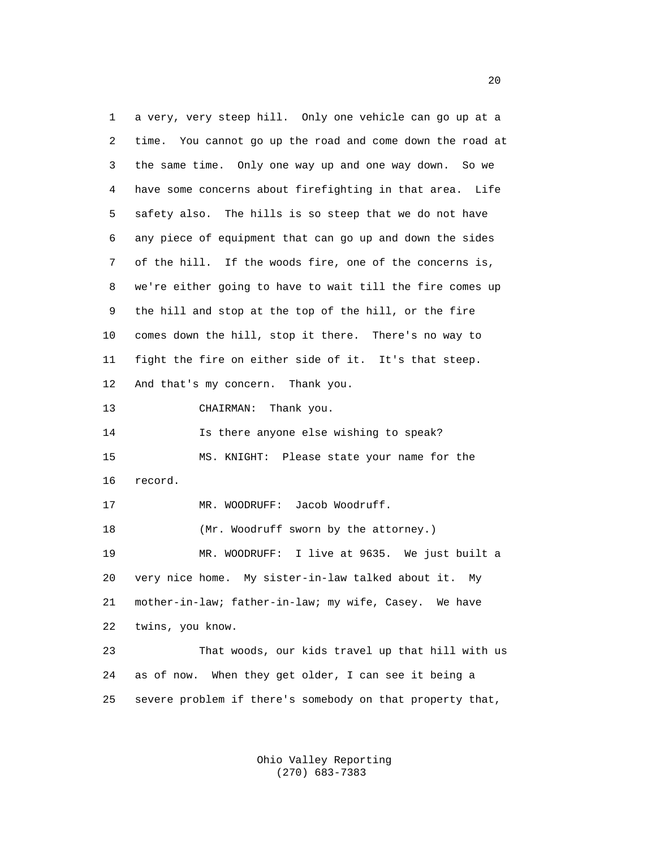1 a very, very steep hill. Only one vehicle can go up at a 2 time. You cannot go up the road and come down the road at 3 the same time. Only one way up and one way down. So we 4 have some concerns about firefighting in that area. Life 5 safety also. The hills is so steep that we do not have 6 any piece of equipment that can go up and down the sides 7 of the hill. If the woods fire, one of the concerns is, 8 we're either going to have to wait till the fire comes up 9 the hill and stop at the top of the hill, or the fire 10 comes down the hill, stop it there. There's no way to 11 fight the fire on either side of it. It's that steep. 12 And that's my concern. Thank you. 13 CHAIRMAN: Thank you. 14 Is there anyone else wishing to speak? 15 MS. KNIGHT: Please state your name for the 16 record. 17 MR. WOODRUFF: Jacob Woodruff. 18 (Mr. Woodruff sworn by the attorney.) 19 MR. WOODRUFF: I live at 9635. We just built a 20 very nice home. My sister-in-law talked about it. My 21 mother-in-law; father-in-law; my wife, Casey. We have 22 twins, you know. 23 That woods, our kids travel up that hill with us 24 as of now. When they get older, I can see it being a 25 severe problem if there's somebody on that property that,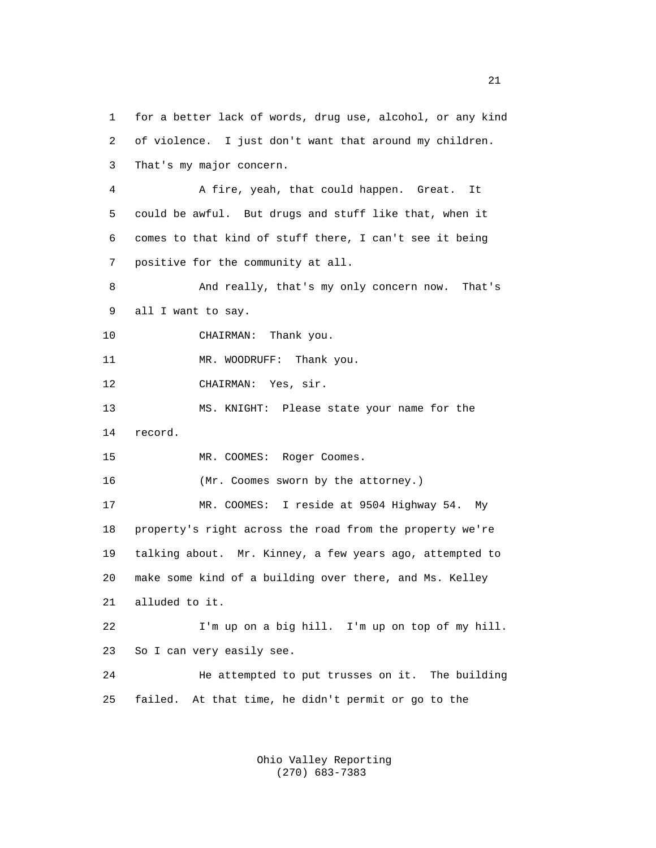1 for a better lack of words, drug use, alcohol, or any kind 2 of violence. I just don't want that around my children. 3 That's my major concern. 4 A fire, yeah, that could happen. Great. It 5 could be awful. But drugs and stuff like that, when it 6 comes to that kind of stuff there, I can't see it being 7 positive for the community at all. 8 And really, that's my only concern now. That's 9 all I want to say. 10 CHAIRMAN: Thank you. 11 MR. WOODRUFF: Thank you. 12 CHAIRMAN: Yes, sir. 13 MS. KNIGHT: Please state your name for the 14 record. 15 MR. COOMES: Roger Coomes. 16 (Mr. Coomes sworn by the attorney.) 17 MR. COOMES: I reside at 9504 Highway 54. My 18 property's right across the road from the property we're 19 talking about. Mr. Kinney, a few years ago, attempted to 20 make some kind of a building over there, and Ms. Kelley 21 alluded to it. 22 I'm up on a big hill. I'm up on top of my hill. 23 So I can very easily see. 24 He attempted to put trusses on it. The building 25 failed. At that time, he didn't permit or go to the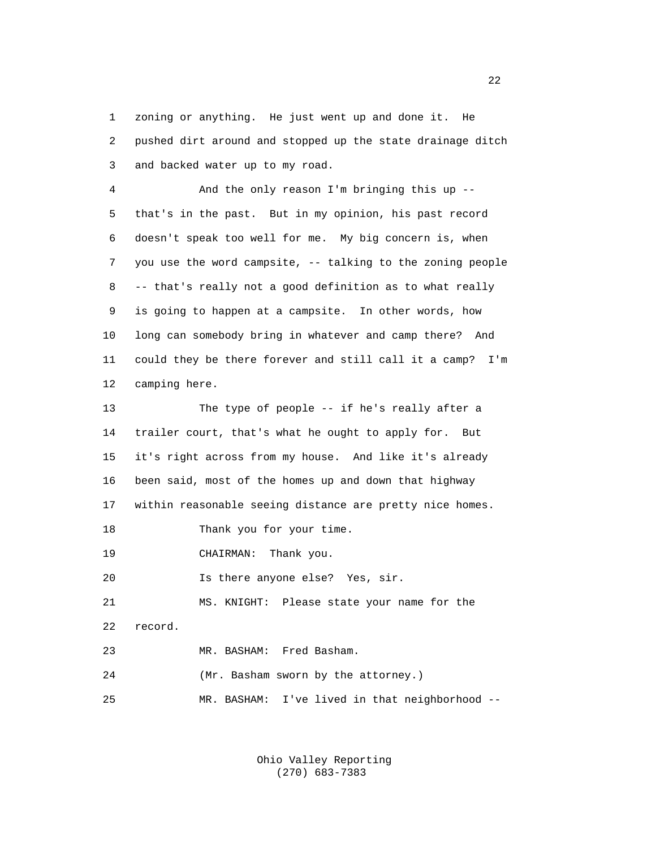1 zoning or anything. He just went up and done it. He 2 pushed dirt around and stopped up the state drainage ditch 3 and backed water up to my road.

 4 And the only reason I'm bringing this up -- 5 that's in the past. But in my opinion, his past record 6 doesn't speak too well for me. My big concern is, when 7 you use the word campsite, -- talking to the zoning people 8 -- that's really not a good definition as to what really 9 is going to happen at a campsite. In other words, how 10 long can somebody bring in whatever and camp there? And 11 could they be there forever and still call it a camp? I'm 12 camping here.

 13 The type of people -- if he's really after a 14 trailer court, that's what he ought to apply for. But 15 it's right across from my house. And like it's already 16 been said, most of the homes up and down that highway 17 within reasonable seeing distance are pretty nice homes. 18 Thank you for your time. 19 CHAIRMAN: Thank you. 20 Is there anyone else? Yes, sir. 21 MS. KNIGHT: Please state your name for the 22 record. 23 MR. BASHAM: Fred Basham. 24 (Mr. Basham sworn by the attorney.) 25 MR. BASHAM: I've lived in that neighborhood --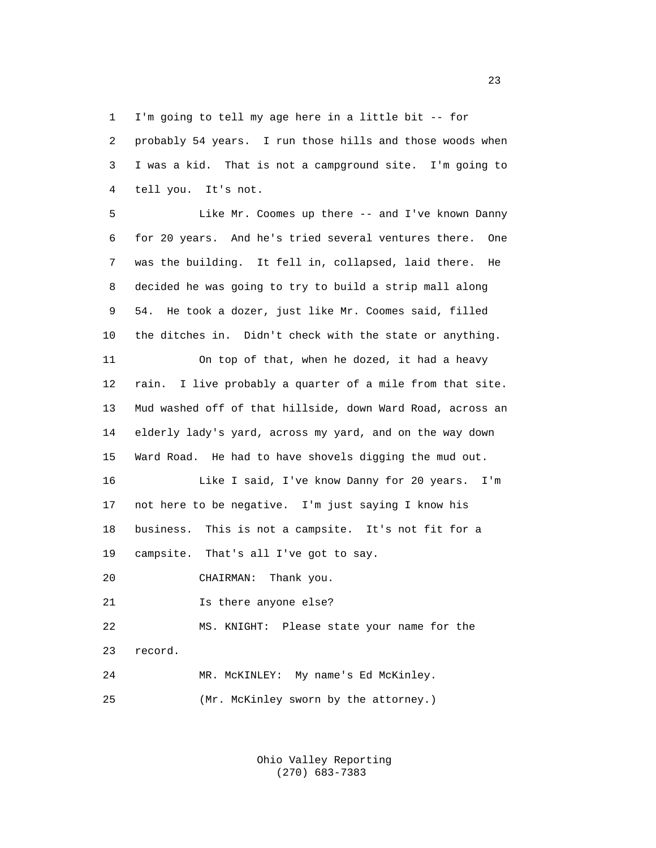1 I'm going to tell my age here in a little bit -- for 2 probably 54 years. I run those hills and those woods when 3 I was a kid. That is not a campground site. I'm going to 4 tell you. It's not.

 5 Like Mr. Coomes up there -- and I've known Danny 6 for 20 years. And he's tried several ventures there. One 7 was the building. It fell in, collapsed, laid there. He 8 decided he was going to try to build a strip mall along 9 54. He took a dozer, just like Mr. Coomes said, filled 10 the ditches in. Didn't check with the state or anything.

 11 On top of that, when he dozed, it had a heavy 12 rain. I live probably a quarter of a mile from that site. 13 Mud washed off of that hillside, down Ward Road, across an 14 elderly lady's yard, across my yard, and on the way down 15 Ward Road. He had to have shovels digging the mud out.

 16 Like I said, I've know Danny for 20 years. I'm 17 not here to be negative. I'm just saying I know his 18 business. This is not a campsite. It's not fit for a 19 campsite. That's all I've got to say.

20 CHAIRMAN: Thank you.

21 Is there anyone else?

 22 MS. KNIGHT: Please state your name for the 23 record. 24 MR. McKINLEY: My name's Ed McKinley.

25 (Mr. McKinley sworn by the attorney.)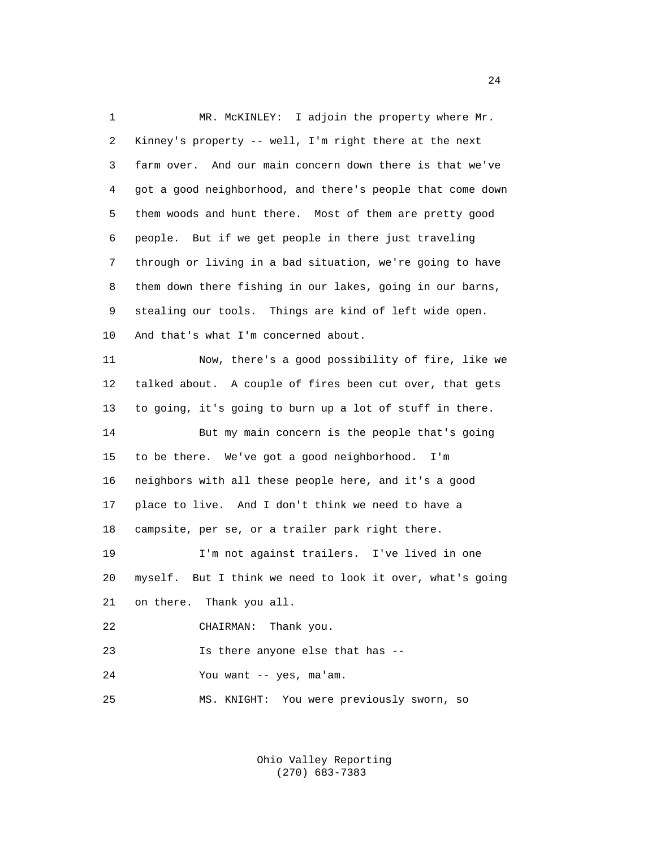1 MR. McKINLEY: I adjoin the property where Mr. 2 Kinney's property -- well, I'm right there at the next 3 farm over. And our main concern down there is that we've 4 got a good neighborhood, and there's people that come down 5 them woods and hunt there. Most of them are pretty good 6 people. But if we get people in there just traveling 7 through or living in a bad situation, we're going to have 8 them down there fishing in our lakes, going in our barns, 9 stealing our tools. Things are kind of left wide open. 10 And that's what I'm concerned about. 11 Now, there's a good possibility of fire, like we 12 talked about. A couple of fires been cut over, that gets 13 to going, it's going to burn up a lot of stuff in there. 14 But my main concern is the people that's going 15 to be there. We've got a good neighborhood. I'm 16 neighbors with all these people here, and it's a good 17 place to live. And I don't think we need to have a 18 campsite, per se, or a trailer park right there. 19 I'm not against trailers. I've lived in one 20 myself. But I think we need to look it over, what's going 21 on there. Thank you all. 22 CHAIRMAN: Thank you. 23 Is there anyone else that has -- 24 You want -- yes, ma'am. 25 MS. KNIGHT: You were previously sworn, so

> Ohio Valley Reporting (270) 683-7383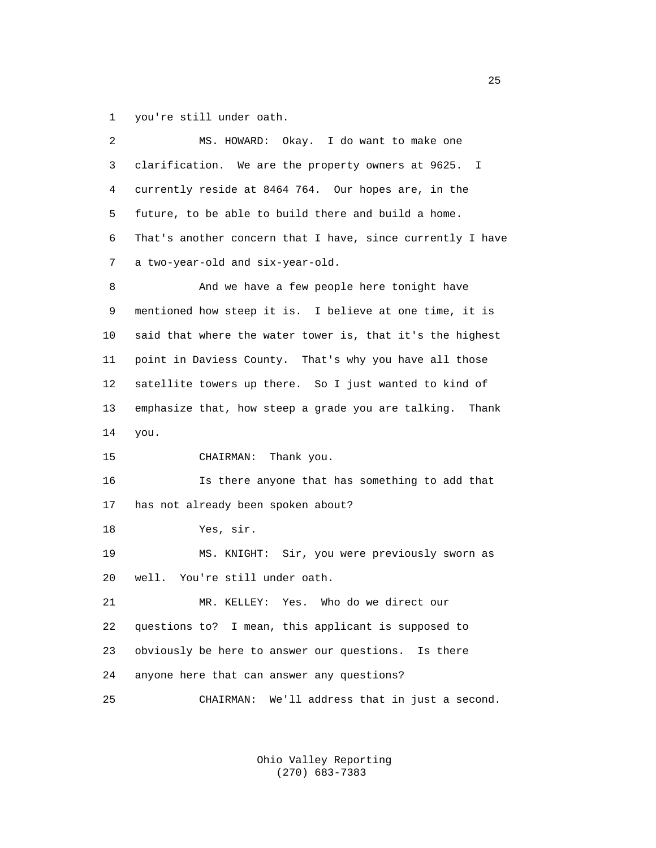1 you're still under oath.

| 2  | MS. HOWARD: Okay. I do want to make one                     |
|----|-------------------------------------------------------------|
| 3  | clarification. We are the property owners at 9625. I        |
| 4  | currently reside at 8464 764. Our hopes are, in the         |
| 5  | future, to be able to build there and build a home.         |
| 6  | That's another concern that I have, since currently I have  |
| 7  | a two-year-old and six-year-old.                            |
| 8  | And we have a few people here tonight have                  |
| 9  | mentioned how steep it is. I believe at one time, it is     |
| 10 | said that where the water tower is, that it's the highest   |
| 11 | point in Daviess County. That's why you have all those      |
| 12 | satellite towers up there. So I just wanted to kind of      |
| 13 | emphasize that, how steep a grade you are talking.<br>Thank |
| 14 | you.                                                        |
| 15 | Thank you.<br>CHAIRMAN:                                     |
| 16 | Is there anyone that has something to add that              |
| 17 | has not already been spoken about?                          |
| 18 | Yes, sir.                                                   |
| 19 | MS. KNIGHT: Sir, you were previously sworn as               |
| 20 | You're still under oath.<br>well.                           |
| 21 | MR. KELLEY: Yes. Who do we direct our                       |
| 22 | questions to? I mean, this applicant is supposed to         |
| 23 | obviously be here to answer our questions.<br>Is there      |
| 24 | anyone here that can answer any questions?                  |
| 25 | We'll address that in just a second.<br>CHAIRMAN:           |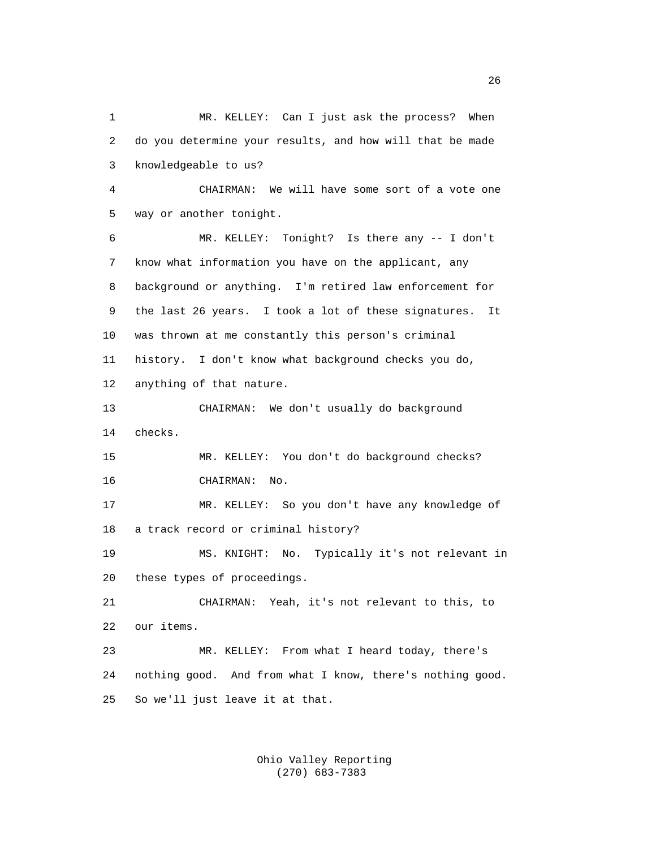1 MR. KELLEY: Can I just ask the process? When 2 do you determine your results, and how will that be made 3 knowledgeable to us? 4 CHAIRMAN: We will have some sort of a vote one 5 way or another tonight. 6 MR. KELLEY: Tonight? Is there any -- I don't 7 know what information you have on the applicant, any 8 background or anything. I'm retired law enforcement for 9 the last 26 years. I took a lot of these signatures. It 10 was thrown at me constantly this person's criminal 11 history. I don't know what background checks you do, 12 anything of that nature. 13 CHAIRMAN: We don't usually do background 14 checks. 15 MR. KELLEY: You don't do background checks? 16 CHAIRMAN: No. 17 MR. KELLEY: So you don't have any knowledge of 18 a track record or criminal history? 19 MS. KNIGHT: No. Typically it's not relevant in 20 these types of proceedings. 21 CHAIRMAN: Yeah, it's not relevant to this, to 22 our items. 23 MR. KELLEY: From what I heard today, there's 24 nothing good. And from what I know, there's nothing good. 25 So we'll just leave it at that.

> Ohio Valley Reporting (270) 683-7383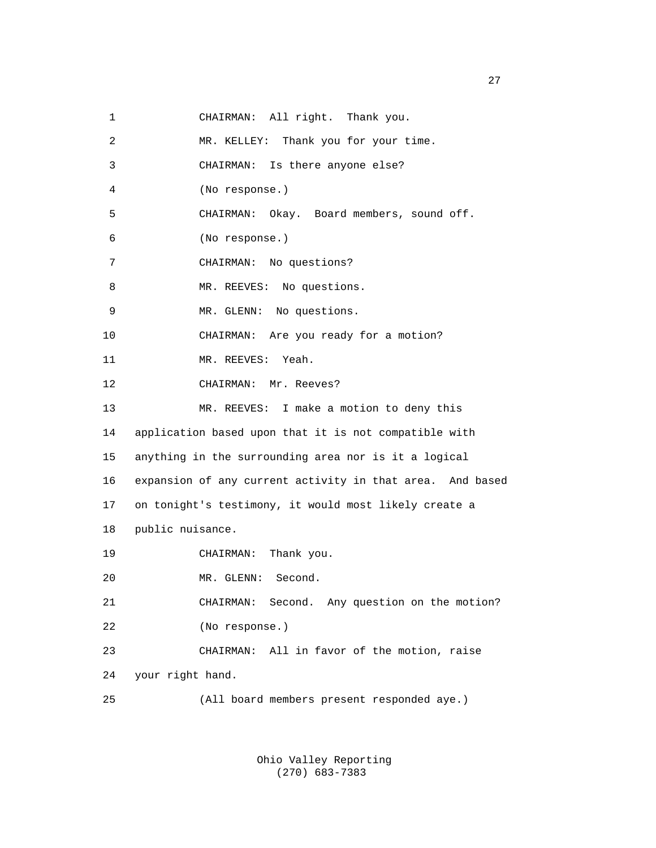1 CHAIRMAN: All right. Thank you.

| $\overline{a}$ | MR. KELLEY: Thank you for your time.                      |
|----------------|-----------------------------------------------------------|
| 3              | CHAIRMAN: Is there anyone else?                           |
| 4              | (No response.)                                            |
| 5              | Okay. Board members, sound off.<br>CHAIRMAN:              |
| 6              | (No response.)                                            |
| 7              | CHAIRMAN: No questions?                                   |
| 8              | MR. REEVES: No questions.                                 |
| 9              | MR. GLENN: No questions.                                  |
| 10             | CHAIRMAN: Are you ready for a motion?                     |
| 11             | MR. REEVES: Yeah.                                         |
| 12             | CHAIRMAN: Mr. Reeves?                                     |
| 13             | MR. REEVES: I make a motion to deny this                  |
| 14             | application based upon that it is not compatible with     |
| 15             | anything in the surrounding area nor is it a logical      |
| 16             | expansion of any current activity in that area. And based |
| 17             | on tonight's testimony, it would most likely create a     |
| 18             | public nuisance.                                          |
| 19             | Thank you.<br>CHAIRMAN:                                   |
| 20             | MR. GLENN: Second.                                        |
| 21             | Second. Any question on the motion?<br>CHAIRMAN:          |
| 22             | (No response.)                                            |
| 23             | All in favor of the motion, raise<br>CHAIRMAN:            |
| 24             | your right hand.                                          |
| 25             | (All board members present responded aye.)                |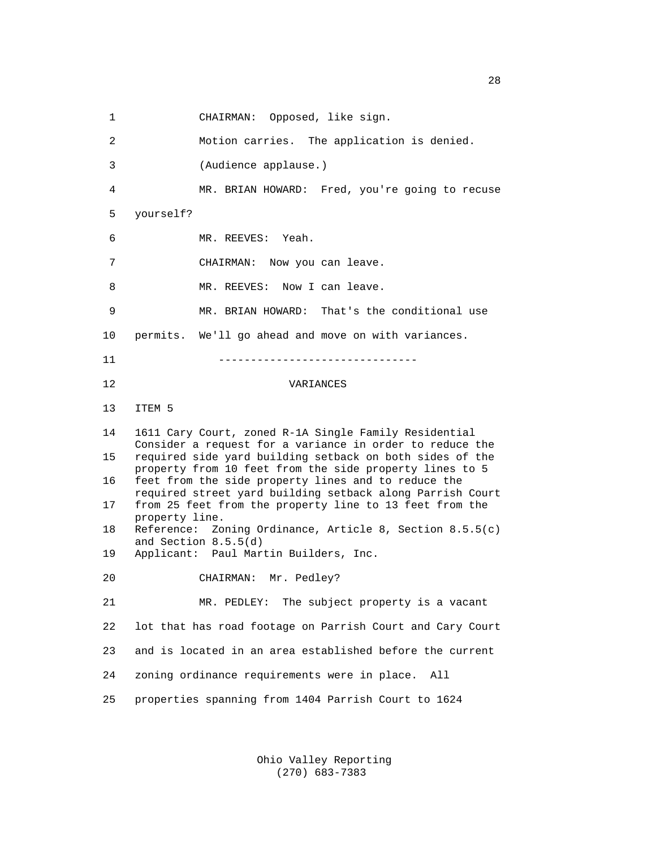1 CHAIRMAN: Opposed, like sign. 2 Motion carries. The application is denied. 3 (Audience applause.) 4 MR. BRIAN HOWARD: Fred, you're going to recuse 5 yourself? 6 MR. REEVES: Yeah. 7 CHAIRMAN: Now you can leave. 8 MR. REEVES: Now I can leave. 9 MR. BRIAN HOWARD: That's the conditional use 10 permits. We'll go ahead and move on with variances. 11 ------------------------------- 12 VARIANCES 13 ITEM 5 14 1611 Cary Court, zoned R-1A Single Family Residential Consider a request for a variance in order to reduce the<br>15 required side yard building setback on both sides of the required side yard building setback on both sides of the property from 10 feet from the side property lines to 5<br>16 feet from the side property lines and to reduce the feet from the side property lines and to reduce the required street yard building setback along Parrish Court<br>17 from 25 feet from the property line to 13 feet from the from 25 feet from the property line to 13 feet from the property line.<br>18 Reference: Zo Reference: Zoning Ordinance, Article 8, Section 8.5.5(c) and Section 8.5.5(d)<br>19 Applicant: Paul Mar Applicant: Paul Martin Builders, Inc. 20 CHAIRMAN: Mr. Pedley? 21 MR. PEDLEY: The subject property is a vacant 22 lot that has road footage on Parrish Court and Cary Court 23 and is located in an area established before the current 24 zoning ordinance requirements were in place. All 25 properties spanning from 1404 Parrish Court to 1624

> Ohio Valley Reporting (270) 683-7383

28 and 28 and 28 and 28 and 28 and 28 and 28 and 28 and 28 and 28 and 28 and 28 and 28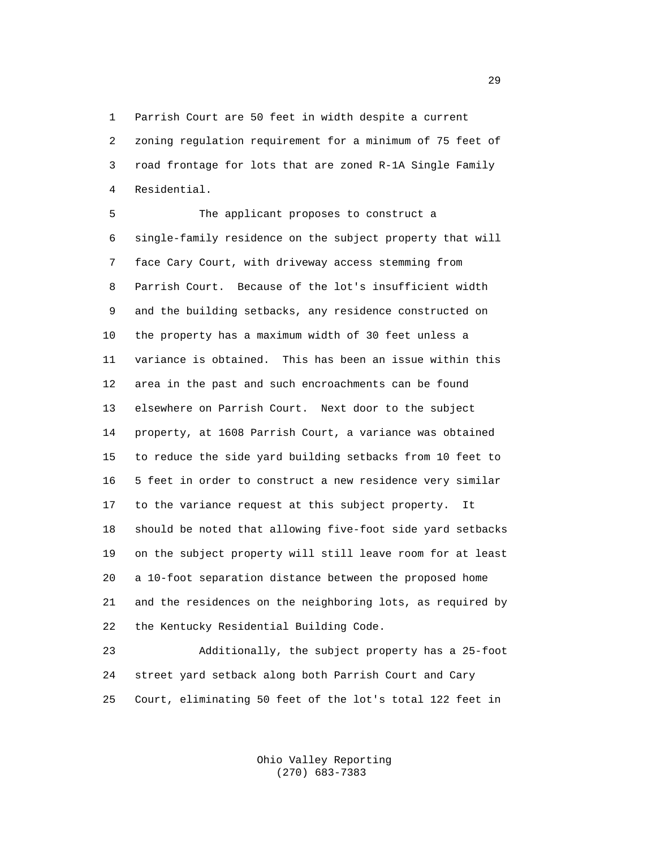1 Parrish Court are 50 feet in width despite a current 2 zoning regulation requirement for a minimum of 75 feet of 3 road frontage for lots that are zoned R-1A Single Family 4 Residential.

 5 The applicant proposes to construct a 6 single-family residence on the subject property that will 7 face Cary Court, with driveway access stemming from 8 Parrish Court. Because of the lot's insufficient width 9 and the building setbacks, any residence constructed on 10 the property has a maximum width of 30 feet unless a 11 variance is obtained. This has been an issue within this 12 area in the past and such encroachments can be found 13 elsewhere on Parrish Court. Next door to the subject 14 property, at 1608 Parrish Court, a variance was obtained 15 to reduce the side yard building setbacks from 10 feet to 16 5 feet in order to construct a new residence very similar 17 to the variance request at this subject property. It 18 should be noted that allowing five-foot side yard setbacks 19 on the subject property will still leave room for at least 20 a 10-foot separation distance between the proposed home 21 and the residences on the neighboring lots, as required by 22 the Kentucky Residential Building Code.

 23 Additionally, the subject property has a 25-foot 24 street yard setback along both Parrish Court and Cary 25 Court, eliminating 50 feet of the lot's total 122 feet in

> Ohio Valley Reporting (270) 683-7383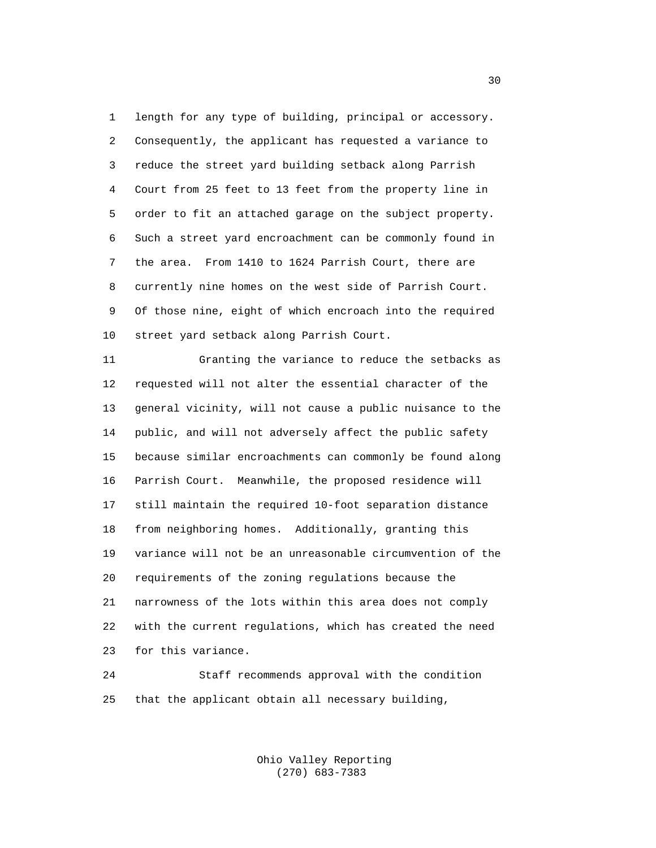1 length for any type of building, principal or accessory. 2 Consequently, the applicant has requested a variance to 3 reduce the street yard building setback along Parrish 4 Court from 25 feet to 13 feet from the property line in 5 order to fit an attached garage on the subject property. 6 Such a street yard encroachment can be commonly found in 7 the area. From 1410 to 1624 Parrish Court, there are 8 currently nine homes on the west side of Parrish Court. 9 Of those nine, eight of which encroach into the required 10 street yard setback along Parrish Court.

 11 Granting the variance to reduce the setbacks as 12 requested will not alter the essential character of the 13 general vicinity, will not cause a public nuisance to the 14 public, and will not adversely affect the public safety 15 because similar encroachments can commonly be found along 16 Parrish Court. Meanwhile, the proposed residence will 17 still maintain the required 10-foot separation distance 18 from neighboring homes. Additionally, granting this 19 variance will not be an unreasonable circumvention of the 20 requirements of the zoning regulations because the 21 narrowness of the lots within this area does not comply 22 with the current regulations, which has created the need 23 for this variance.

 24 Staff recommends approval with the condition 25 that the applicant obtain all necessary building,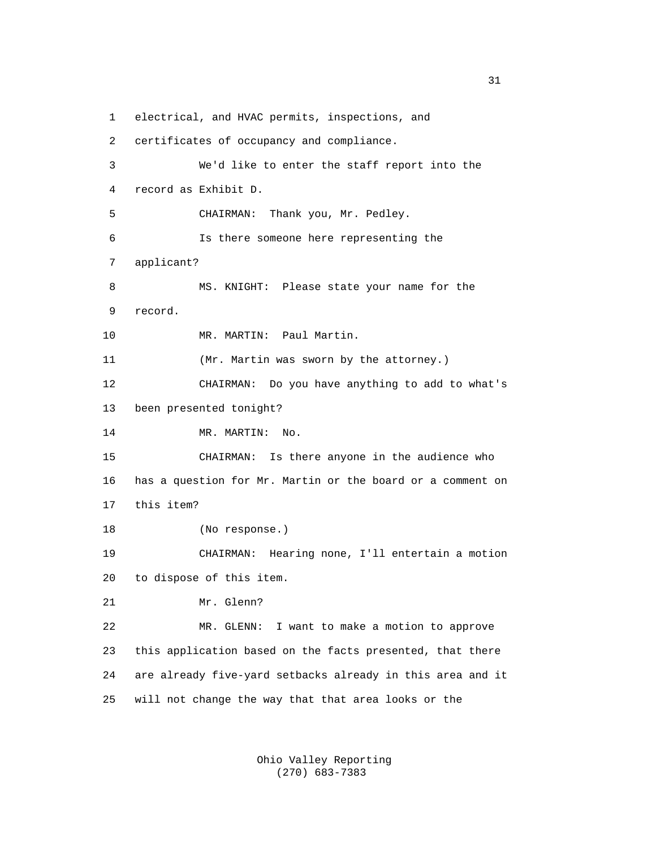1 electrical, and HVAC permits, inspections, and

 2 certificates of occupancy and compliance. 3 We'd like to enter the staff report into the 4 record as Exhibit D. 5 CHAIRMAN: Thank you, Mr. Pedley. 6 Is there someone here representing the 7 applicant? 8 MS. KNIGHT: Please state your name for the 9 record. 10 MR. MARTIN: Paul Martin. 11 (Mr. Martin was sworn by the attorney.) 12 CHAIRMAN: Do you have anything to add to what's 13 been presented tonight? 14 MR. MARTIN: No. 15 CHAIRMAN: Is there anyone in the audience who 16 has a question for Mr. Martin or the board or a comment on 17 this item? 18 (No response.) 19 CHAIRMAN: Hearing none, I'll entertain a motion 20 to dispose of this item. 21 Mr. Glenn? 22 MR. GLENN: I want to make a motion to approve 23 this application based on the facts presented, that there 24 are already five-yard setbacks already in this area and it 25 will not change the way that that area looks or the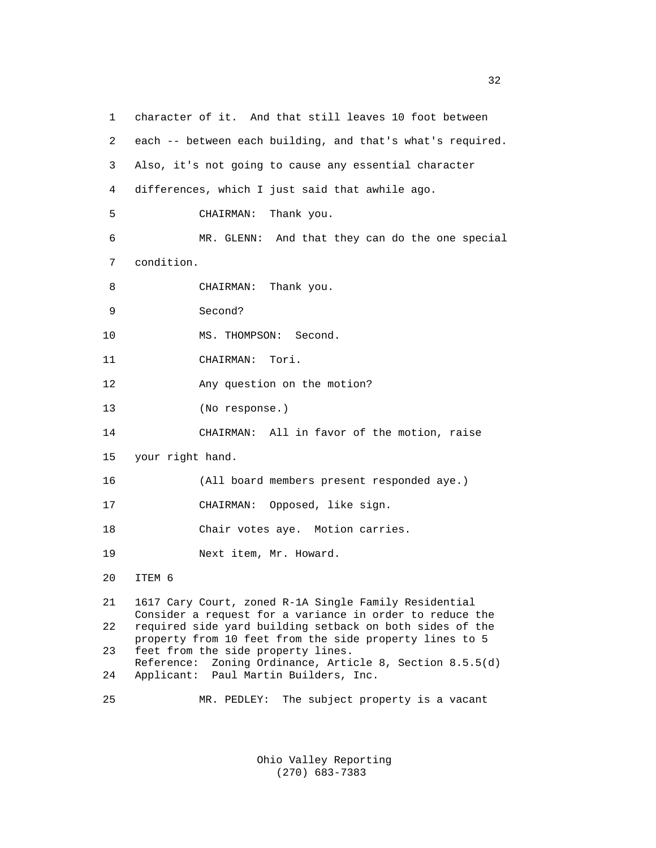1 character of it. And that still leaves 10 foot between 2 each -- between each building, and that's what's required. 3 Also, it's not going to cause any essential character 4 differences, which I just said that awhile ago. 5 CHAIRMAN: Thank you. 6 MR. GLENN: And that they can do the one special 7 condition. 8 CHAIRMAN: Thank you. 9 Second? 10 MS. THOMPSON: Second. 11 CHAIRMAN: Tori. 12 Any question on the motion? 13 (No response.) 14 CHAIRMAN: All in favor of the motion, raise 15 your right hand. 16 (All board members present responded aye.) 17 CHAIRMAN: Opposed, like sign. 18 Chair votes aye. Motion carries. 19 Next item, Mr. Howard. 20 ITEM 6 21 1617 Cary Court, zoned R-1A Single Family Residential Consider a request for a variance in order to reduce the 22 required side yard building setback on both sides of the property from 10 feet from the side property lines to 5<br>23 feet from the side property lines. feet from the side property lines. Reference: Zoning Ordinance, Article 8, Section 8.5.5(d)<br>24 Applicant: Paul Martin Builders, Inc. Applicant: Paul Martin Builders, Inc. 25 MR. PEDLEY: The subject property is a vacant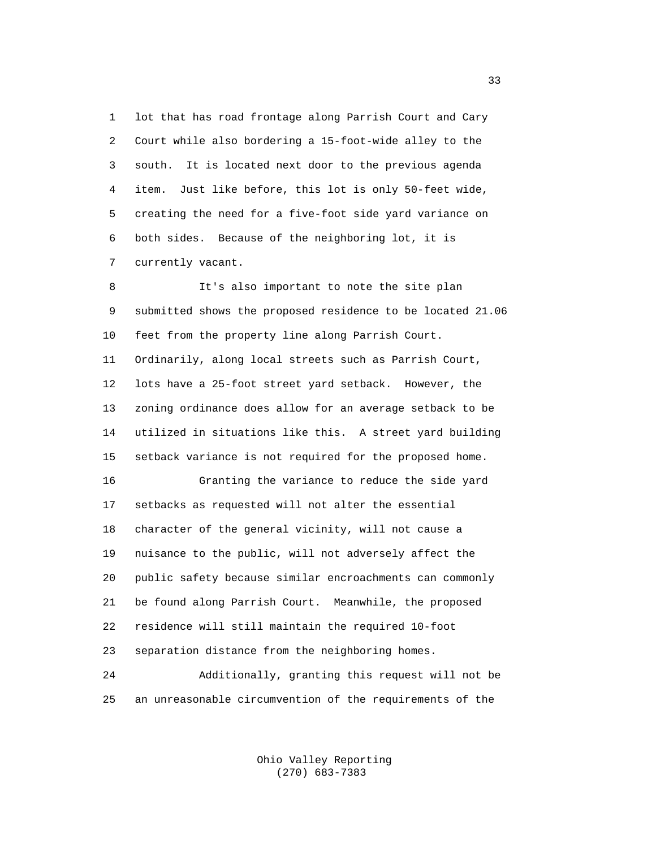1 lot that has road frontage along Parrish Court and Cary 2 Court while also bordering a 15-foot-wide alley to the 3 south. It is located next door to the previous agenda 4 item. Just like before, this lot is only 50-feet wide, 5 creating the need for a five-foot side yard variance on 6 both sides. Because of the neighboring lot, it is 7 currently vacant.

 8 It's also important to note the site plan 9 submitted shows the proposed residence to be located 21.06 10 feet from the property line along Parrish Court. 11 Ordinarily, along local streets such as Parrish Court, 12 lots have a 25-foot street yard setback. However, the 13 zoning ordinance does allow for an average setback to be 14 utilized in situations like this. A street yard building 15 setback variance is not required for the proposed home. 16 Granting the variance to reduce the side yard 17 setbacks as requested will not alter the essential 18 character of the general vicinity, will not cause a 19 nuisance to the public, will not adversely affect the 20 public safety because similar encroachments can commonly 21 be found along Parrish Court. Meanwhile, the proposed 22 residence will still maintain the required 10-foot 23 separation distance from the neighboring homes. 24 Additionally, granting this request will not be

25 an unreasonable circumvention of the requirements of the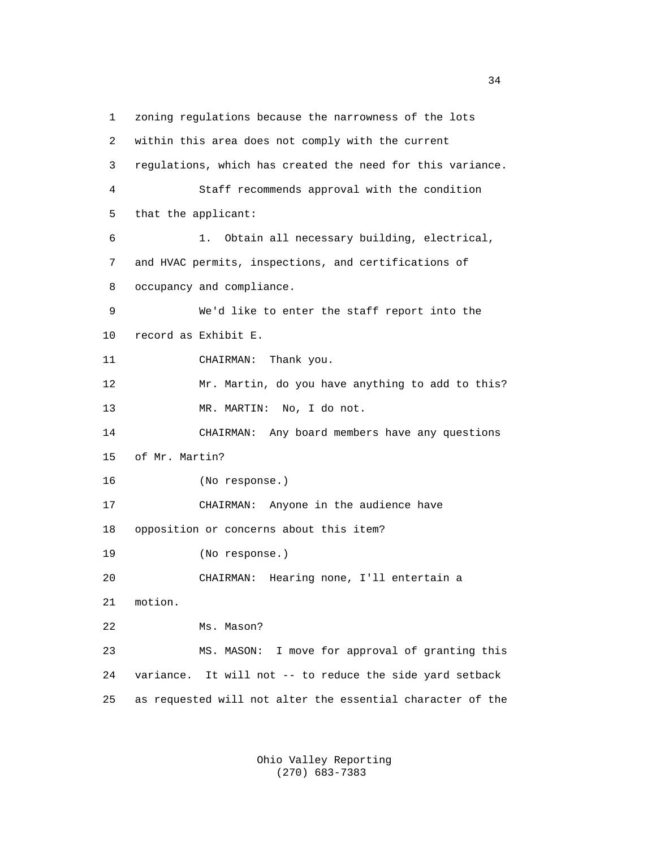1 zoning regulations because the narrowness of the lots 2 within this area does not comply with the current 3 regulations, which has created the need for this variance. 4 Staff recommends approval with the condition 5 that the applicant: 6 1. Obtain all necessary building, electrical, 7 and HVAC permits, inspections, and certifications of 8 occupancy and compliance. 9 We'd like to enter the staff report into the 10 record as Exhibit E. 11 CHAIRMAN: Thank you. 12 Mr. Martin, do you have anything to add to this? 13 MR. MARTIN: No, I do not. 14 CHAIRMAN: Any board members have any questions 15 of Mr. Martin? 16 (No response.) 17 CHAIRMAN: Anyone in the audience have 18 opposition or concerns about this item? 19 (No response.) 20 CHAIRMAN: Hearing none, I'll entertain a 21 motion. 22 Ms. Mason? 23 MS. MASON: I move for approval of granting this 24 variance. It will not -- to reduce the side yard setback 25 as requested will not alter the essential character of the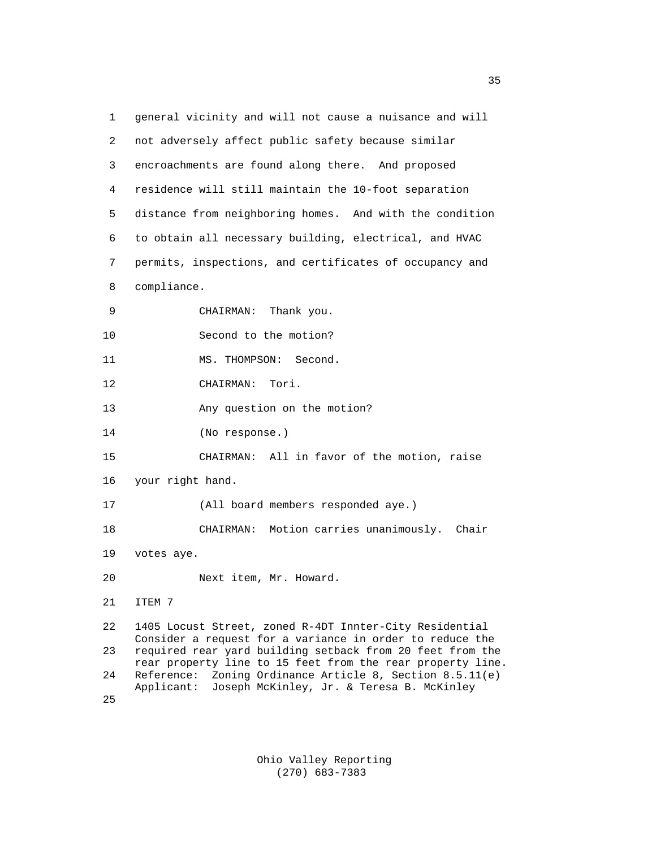| 1  | general vicinity and will not cause a nuisance and will                                                                   |
|----|---------------------------------------------------------------------------------------------------------------------------|
| 2  | not adversely affect public safety because similar                                                                        |
| 3  | encroachments are found along there. And proposed                                                                         |
| 4  | residence will still maintain the 10-foot separation                                                                      |
| 5  | distance from neighboring homes. And with the condition                                                                   |
| 6  | to obtain all necessary building, electrical, and HVAC                                                                    |
| 7  | permits, inspections, and certificates of occupancy and                                                                   |
| 8  | compliance.                                                                                                               |
| 9  | CHAIRMAN:<br>Thank you.                                                                                                   |
| 10 | Second to the motion?                                                                                                     |
| 11 | MS. THOMPSON: Second.                                                                                                     |
| 12 | CHAIRMAN:<br>Tori.                                                                                                        |
| 13 | Any question on the motion?                                                                                               |
| 14 | (No response.)                                                                                                            |
| 15 | CHAIRMAN: All in favor of the motion, raise                                                                               |
| 16 | your right hand.                                                                                                          |
| 17 | (All board members responded aye.)                                                                                        |
| 18 | CHAIRMAN: Motion carries unanimously. Chair                                                                               |
| 19 | votes aye.                                                                                                                |
| 20 | Next item, Mr. Howard.                                                                                                    |
| 21 | ITEM 7                                                                                                                    |
| 22 | 1405 Locust Street, zoned R-4DT Innter-City Residential                                                                   |
| 23 | Consider a request for a variance in order to reduce the<br>required rear yard building setback from 20 feet from the     |
| 24 | rear property line to 15 feet from the rear property line.<br>Reference:<br>Zoning Ordinance Article 8, Section 8.5.11(e) |
| 25 | Joseph McKinley, Jr. & Teresa B. McKinley<br>Applicant:                                                                   |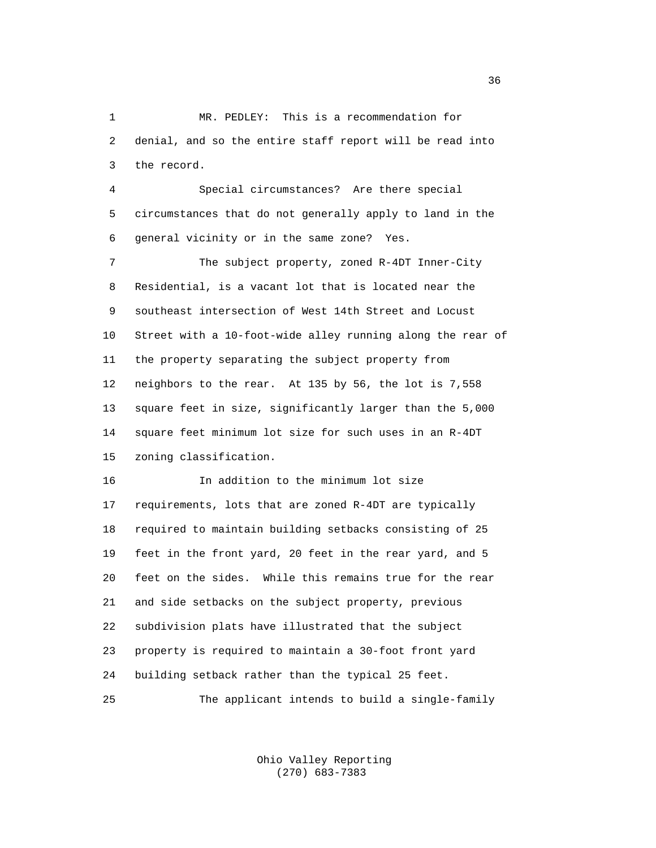1 MR. PEDLEY: This is a recommendation for 2 denial, and so the entire staff report will be read into 3 the record.

 4 Special circumstances? Are there special 5 circumstances that do not generally apply to land in the 6 general vicinity or in the same zone? Yes.

 7 The subject property, zoned R-4DT Inner-City 8 Residential, is a vacant lot that is located near the 9 southeast intersection of West 14th Street and Locust 10 Street with a 10-foot-wide alley running along the rear of 11 the property separating the subject property from 12 neighbors to the rear. At 135 by 56, the lot is 7,558 13 square feet in size, significantly larger than the 5,000 14 square feet minimum lot size for such uses in an R-4DT 15 zoning classification.

 16 In addition to the minimum lot size 17 requirements, lots that are zoned R-4DT are typically 18 required to maintain building setbacks consisting of 25 19 feet in the front yard, 20 feet in the rear yard, and 5 20 feet on the sides. While this remains true for the rear 21 and side setbacks on the subject property, previous 22 subdivision plats have illustrated that the subject 23 property is required to maintain a 30-foot front yard 24 building setback rather than the typical 25 feet. 25 The applicant intends to build a single-family

> Ohio Valley Reporting (270) 683-7383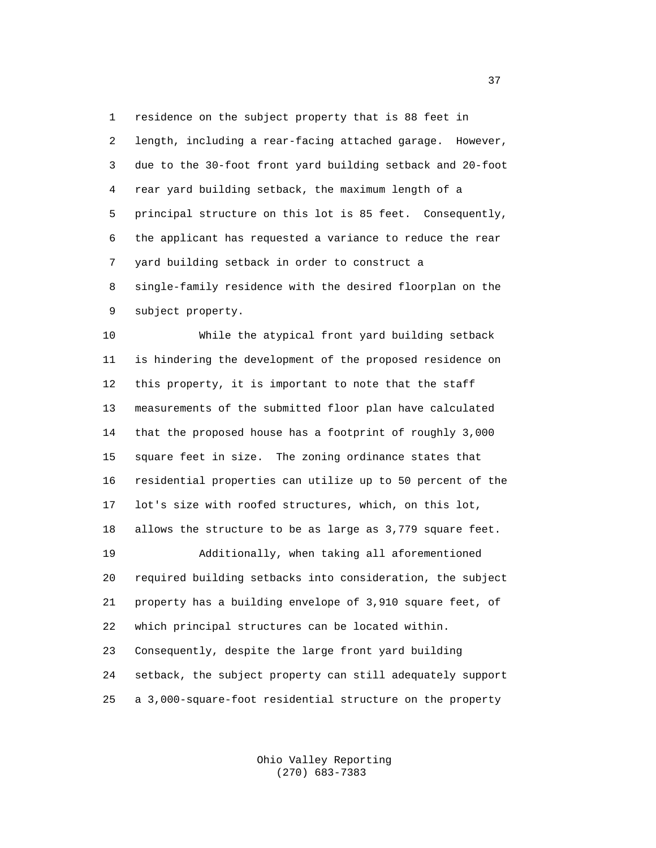1 residence on the subject property that is 88 feet in 2 length, including a rear-facing attached garage. However, 3 due to the 30-foot front yard building setback and 20-foot 4 rear yard building setback, the maximum length of a 5 principal structure on this lot is 85 feet. Consequently, 6 the applicant has requested a variance to reduce the rear 7 yard building setback in order to construct a 8 single-family residence with the desired floorplan on the 9 subject property.

 10 While the atypical front yard building setback 11 is hindering the development of the proposed residence on 12 this property, it is important to note that the staff 13 measurements of the submitted floor plan have calculated 14 that the proposed house has a footprint of roughly 3,000 15 square feet in size. The zoning ordinance states that 16 residential properties can utilize up to 50 percent of the 17 lot's size with roofed structures, which, on this lot, 18 allows the structure to be as large as 3,779 square feet. 19 Additionally, when taking all aforementioned 20 required building setbacks into consideration, the subject 21 property has a building envelope of 3,910 square feet, of 22 which principal structures can be located within. 23 Consequently, despite the large front yard building 24 setback, the subject property can still adequately support

25 a 3,000-square-foot residential structure on the property

 Ohio Valley Reporting (270) 683-7383

<u>37</u>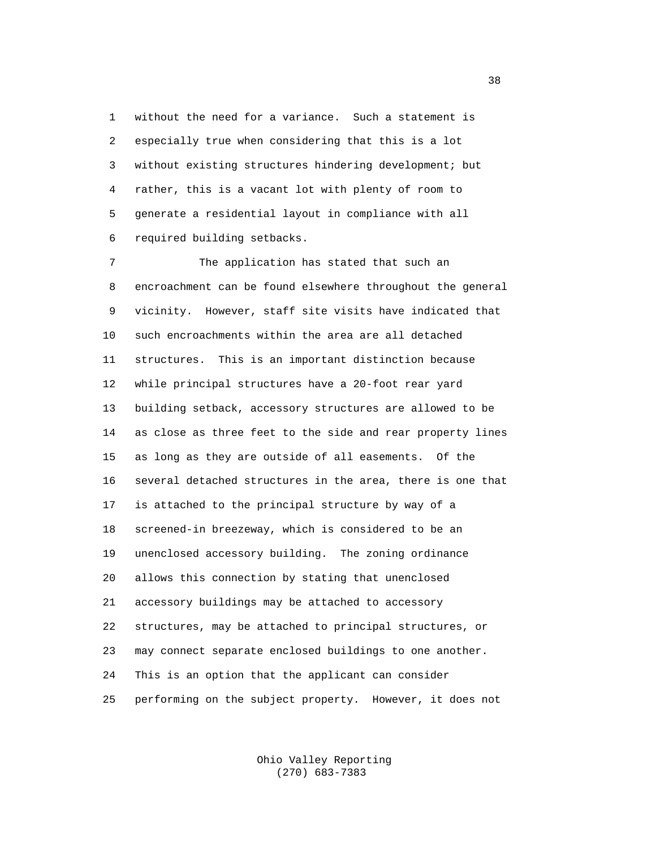1 without the need for a variance. Such a statement is 2 especially true when considering that this is a lot 3 without existing structures hindering development; but 4 rather, this is a vacant lot with plenty of room to 5 generate a residential layout in compliance with all 6 required building setbacks.

 7 The application has stated that such an 8 encroachment can be found elsewhere throughout the general 9 vicinity. However, staff site visits have indicated that 10 such encroachments within the area are all detached 11 structures. This is an important distinction because 12 while principal structures have a 20-foot rear yard 13 building setback, accessory structures are allowed to be 14 as close as three feet to the side and rear property lines 15 as long as they are outside of all easements. Of the 16 several detached structures in the area, there is one that 17 is attached to the principal structure by way of a 18 screened-in breezeway, which is considered to be an 19 unenclosed accessory building. The zoning ordinance 20 allows this connection by stating that unenclosed 21 accessory buildings may be attached to accessory 22 structures, may be attached to principal structures, or 23 may connect separate enclosed buildings to one another. 24 This is an option that the applicant can consider 25 performing on the subject property. However, it does not

> Ohio Valley Reporting (270) 683-7383

 $38<sup>3</sup>$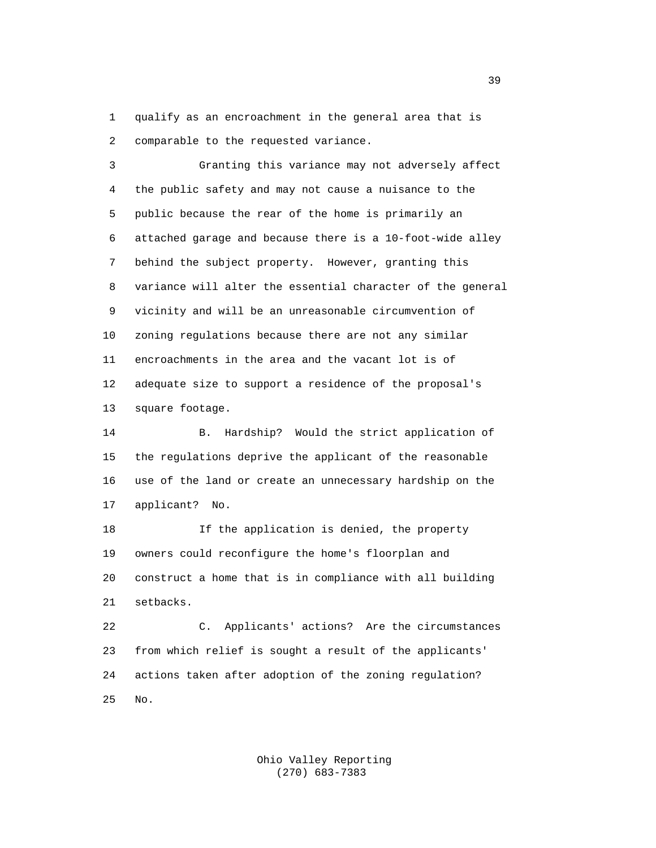1 qualify as an encroachment in the general area that is 2 comparable to the requested variance.

 3 Granting this variance may not adversely affect 4 the public safety and may not cause a nuisance to the 5 public because the rear of the home is primarily an 6 attached garage and because there is a 10-foot-wide alley 7 behind the subject property. However, granting this 8 variance will alter the essential character of the general 9 vicinity and will be an unreasonable circumvention of 10 zoning regulations because there are not any similar 11 encroachments in the area and the vacant lot is of 12 adequate size to support a residence of the proposal's 13 square footage.

 14 B. Hardship? Would the strict application of 15 the regulations deprive the applicant of the reasonable 16 use of the land or create an unnecessary hardship on the 17 applicant? No.

 18 If the application is denied, the property 19 owners could reconfigure the home's floorplan and 20 construct a home that is in compliance with all building 21 setbacks.

 22 C. Applicants' actions? Are the circumstances 23 from which relief is sought a result of the applicants' 24 actions taken after adoption of the zoning regulation? 25 No.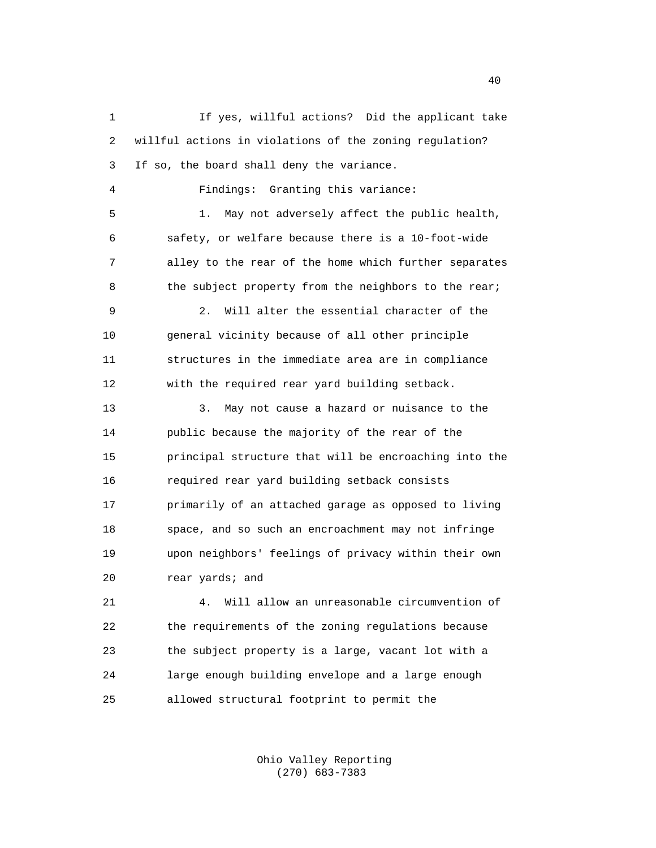1 If yes, willful actions? Did the applicant take 2 willful actions in violations of the zoning regulation? 3 If so, the board shall deny the variance. 4 Findings: Granting this variance: 5 1. May not adversely affect the public health, 6 safety, or welfare because there is a 10-foot-wide 7 alley to the rear of the home which further separates 8 the subject property from the neighbors to the rear; 9 2. Will alter the essential character of the 10 general vicinity because of all other principle 11 structures in the immediate area are in compliance 12 with the required rear yard building setback. 13 3. May not cause a hazard or nuisance to the 14 public because the majority of the rear of the 15 principal structure that will be encroaching into the 16 required rear yard building setback consists 17 primarily of an attached garage as opposed to living 18 space, and so such an encroachment may not infringe 19 upon neighbors' feelings of privacy within their own 20 rear yards; and 21 4. Will allow an unreasonable circumvention of 22 the requirements of the zoning regulations because 23 the subject property is a large, vacant lot with a 24 large enough building envelope and a large enough 25 allowed structural footprint to permit the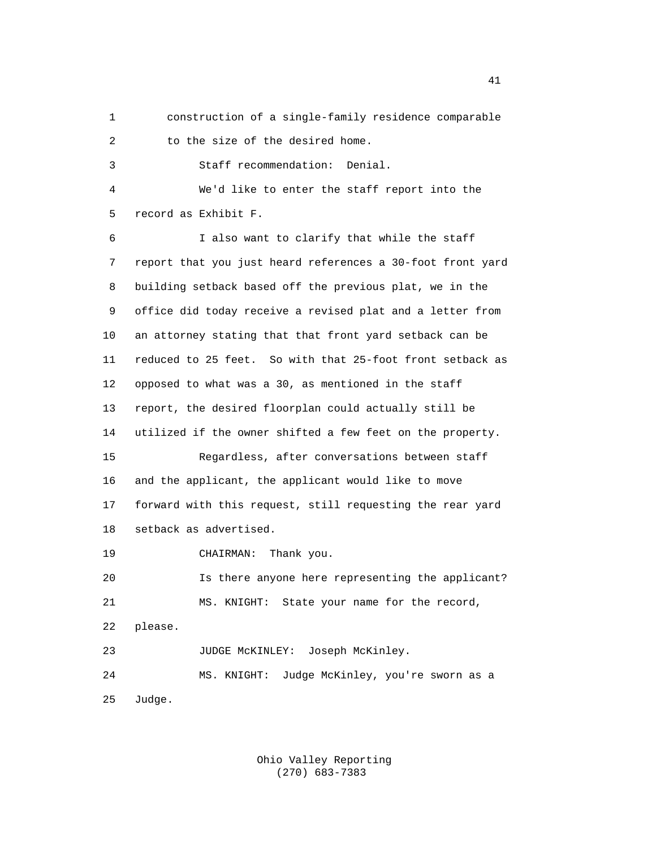1 construction of a single-family residence comparable

2 to the size of the desired home.

3 Staff recommendation: Denial.

 4 We'd like to enter the staff report into the 5 record as Exhibit F.

 6 I also want to clarify that while the staff 7 report that you just heard references a 30-foot front yard 8 building setback based off the previous plat, we in the 9 office did today receive a revised plat and a letter from 10 an attorney stating that that front yard setback can be 11 reduced to 25 feet. So with that 25-foot front setback as 12 opposed to what was a 30, as mentioned in the staff 13 report, the desired floorplan could actually still be 14 utilized if the owner shifted a few feet on the property. 15 Regardless, after conversations between staff 16 and the applicant, the applicant would like to move 17 forward with this request, still requesting the rear yard 18 setback as advertised. 19 CHAIRMAN: Thank you. 20 Is there anyone here representing the applicant?

 21 MS. KNIGHT: State your name for the record, 22 please. 23 JUDGE McKINLEY: Joseph McKinley. 24 MS. KNIGHT: Judge McKinley, you're sworn as a

25 Judge.

 Ohio Valley Reporting (270) 683-7383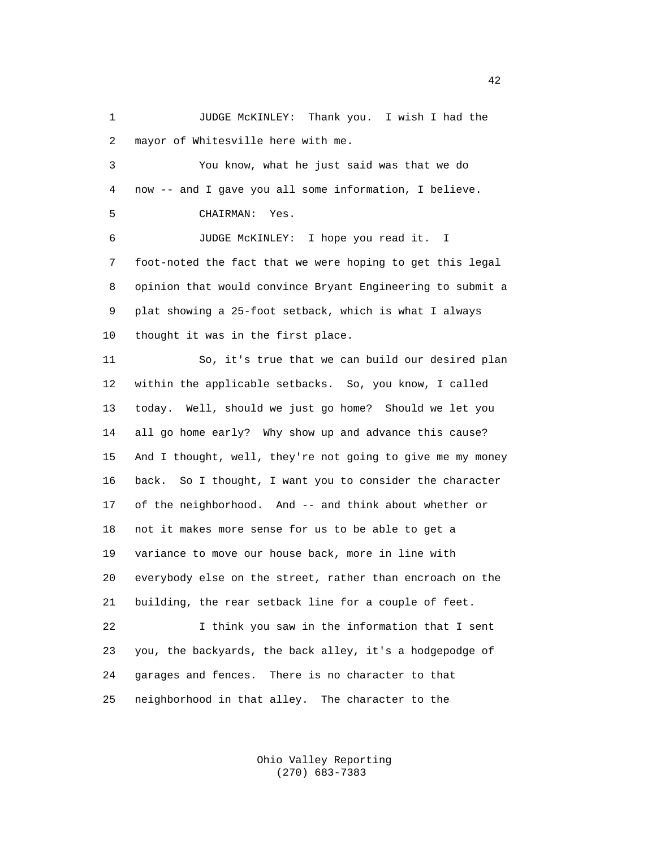1 JUDGE McKINLEY: Thank you. I wish I had the 2 mayor of Whitesville here with me.

 3 You know, what he just said was that we do 4 now -- and I gave you all some information, I believe. 5 CHAIRMAN: Yes. 6 JUDGE McKINLEY: I hope you read it. I 7 foot-noted the fact that we were hoping to get this legal 8 opinion that would convince Bryant Engineering to submit a

 9 plat showing a 25-foot setback, which is what I always 10 thought it was in the first place.

 11 So, it's true that we can build our desired plan 12 within the applicable setbacks. So, you know, I called 13 today. Well, should we just go home? Should we let you 14 all go home early? Why show up and advance this cause? 15 And I thought, well, they're not going to give me my money 16 back. So I thought, I want you to consider the character 17 of the neighborhood. And -- and think about whether or 18 not it makes more sense for us to be able to get a 19 variance to move our house back, more in line with 20 everybody else on the street, rather than encroach on the 21 building, the rear setback line for a couple of feet.

 22 I think you saw in the information that I sent 23 you, the backyards, the back alley, it's a hodgepodge of 24 garages and fences. There is no character to that 25 neighborhood in that alley. The character to the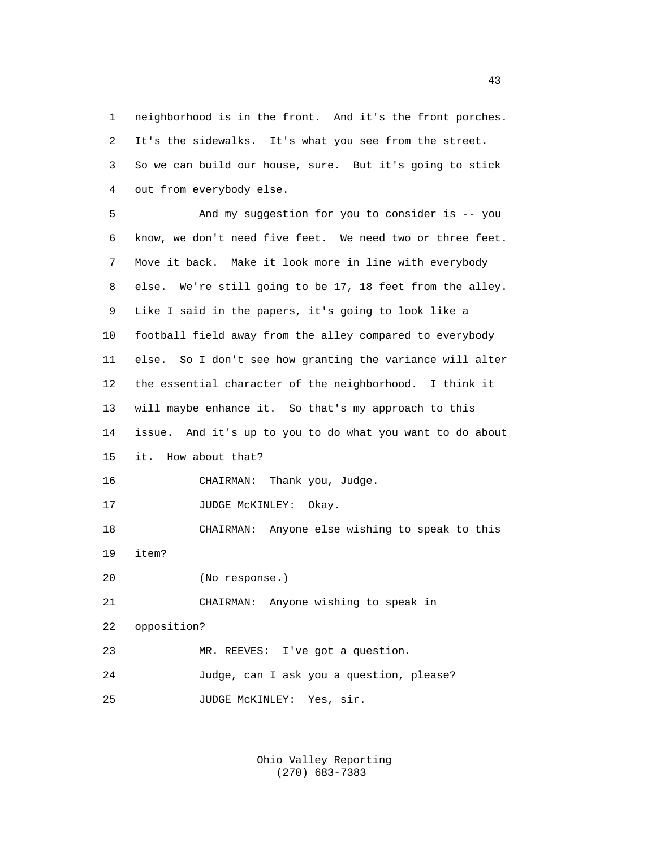1 neighborhood is in the front. And it's the front porches. 2 It's the sidewalks. It's what you see from the street. 3 So we can build our house, sure. But it's going to stick 4 out from everybody else.

 5 And my suggestion for you to consider is -- you 6 know, we don't need five feet. We need two or three feet. 7 Move it back. Make it look more in line with everybody 8 else. We're still going to be 17, 18 feet from the alley. 9 Like I said in the papers, it's going to look like a 10 football field away from the alley compared to everybody 11 else. So I don't see how granting the variance will alter 12 the essential character of the neighborhood. I think it 13 will maybe enhance it. So that's my approach to this 14 issue. And it's up to you to do what you want to do about 15 it. How about that? 16 CHAIRMAN: Thank you, Judge. 17 JUDGE MCKINLEY: Okay. 18 CHAIRMAN: Anyone else wishing to speak to this 19 item? 20 (No response.) 21 CHAIRMAN: Anyone wishing to speak in 22 opposition? 23 MR. REEVES: I've got a question. 24 Judge, can I ask you a question, please? 25 JUDGE McKINLEY: Yes, sir.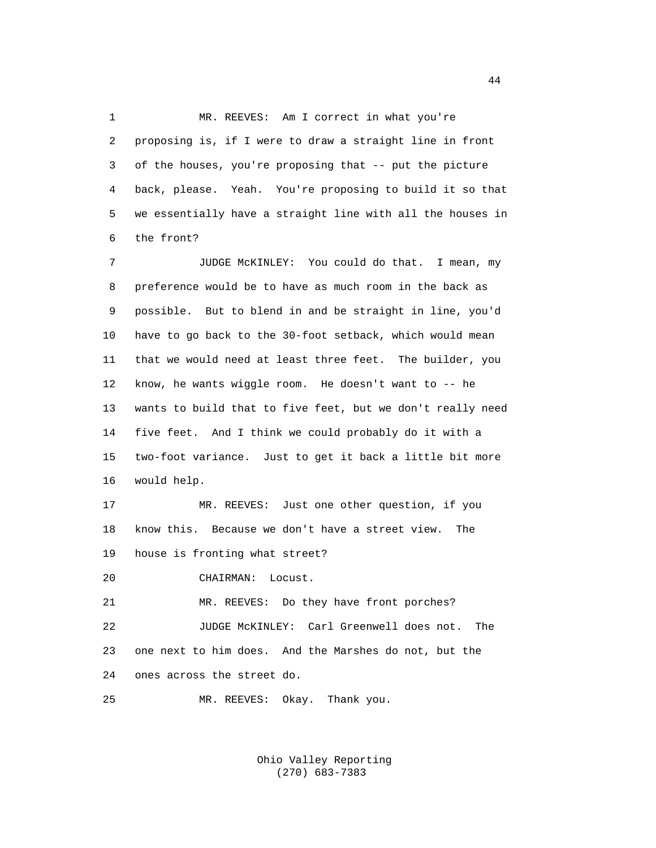1 MR. REEVES: Am I correct in what you're 2 proposing is, if I were to draw a straight line in front 3 of the houses, you're proposing that -- put the picture 4 back, please. Yeah. You're proposing to build it so that 5 we essentially have a straight line with all the houses in 6 the front?

 7 JUDGE McKINLEY: You could do that. I mean, my 8 preference would be to have as much room in the back as 9 possible. But to blend in and be straight in line, you'd 10 have to go back to the 30-foot setback, which would mean 11 that we would need at least three feet. The builder, you 12 know, he wants wiggle room. He doesn't want to -- he 13 wants to build that to five feet, but we don't really need 14 five feet. And I think we could probably do it with a 15 two-foot variance. Just to get it back a little bit more 16 would help.

 17 MR. REEVES: Just one other question, if you 18 know this. Because we don't have a street view. The 19 house is fronting what street?

20 CHAIRMAN: Locust.

 21 MR. REEVES: Do they have front porches? 22 JUDGE McKINLEY: Carl Greenwell does not. The 23 one next to him does. And the Marshes do not, but the 24 ones across the street do.

25 MR. REEVES: Okay. Thank you.

 Ohio Valley Reporting (270) 683-7383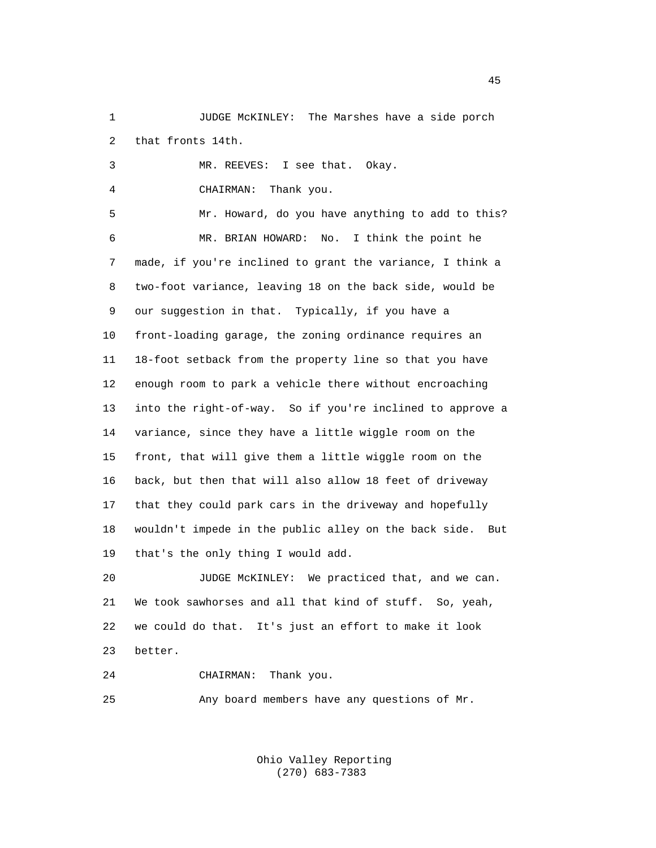1 JUDGE McKINLEY: The Marshes have a side porch 2 that fronts 14th.

 3 MR. REEVES: I see that. Okay. 4 CHAIRMAN: Thank you. 5 Mr. Howard, do you have anything to add to this? 6 MR. BRIAN HOWARD: No. I think the point he 7 made, if you're inclined to grant the variance, I think a 8 two-foot variance, leaving 18 on the back side, would be 9 our suggestion in that. Typically, if you have a 10 front-loading garage, the zoning ordinance requires an 11 18-foot setback from the property line so that you have 12 enough room to park a vehicle there without encroaching 13 into the right-of-way. So if you're inclined to approve a 14 variance, since they have a little wiggle room on the 15 front, that will give them a little wiggle room on the 16 back, but then that will also allow 18 feet of driveway 17 that they could park cars in the driveway and hopefully 18 wouldn't impede in the public alley on the back side. But 19 that's the only thing I would add.

 20 JUDGE McKINLEY: We practiced that, and we can. 21 We took sawhorses and all that kind of stuff. So, yeah, 22 we could do that. It's just an effort to make it look 23 better.

24 CHAIRMAN: Thank you.

25 Any board members have any questions of Mr.

 Ohio Valley Reporting (270) 683-7383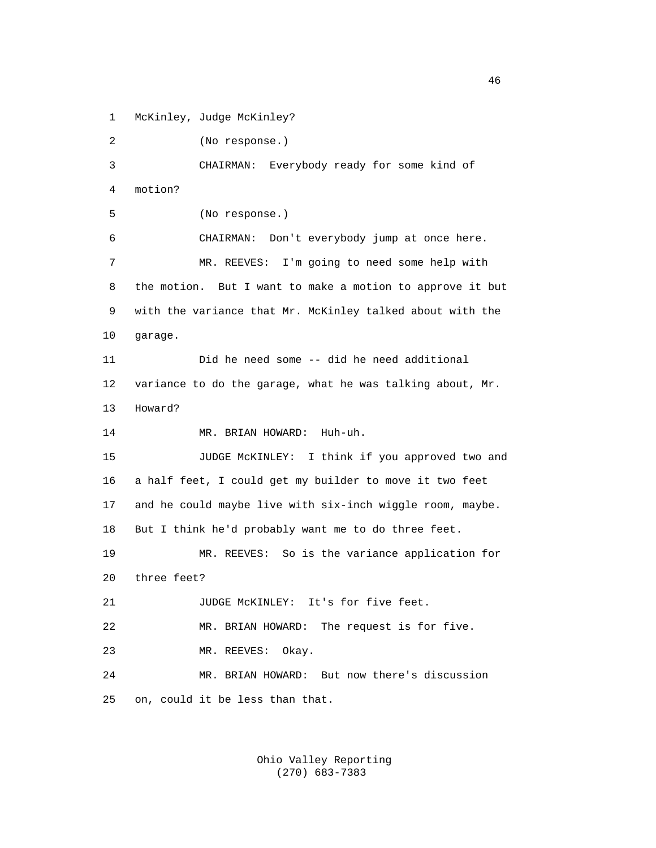1 McKinley, Judge McKinley?

 2 (No response.) 3 CHAIRMAN: Everybody ready for some kind of 4 motion? 5 (No response.) 6 CHAIRMAN: Don't everybody jump at once here. 7 MR. REEVES: I'm going to need some help with 8 the motion. But I want to make a motion to approve it but 9 with the variance that Mr. McKinley talked about with the 10 garage. 11 Did he need some -- did he need additional 12 variance to do the garage, what he was talking about, Mr. 13 Howard? 14 MR. BRIAN HOWARD: Huh-uh. 15 JUDGE McKINLEY: I think if you approved two and 16 a half feet, I could get my builder to move it two feet 17 and he could maybe live with six-inch wiggle room, maybe. 18 But I think he'd probably want me to do three feet. 19 MR. REEVES: So is the variance application for 20 three feet? 21 JUDGE McKINLEY: It's for five feet. 22 MR. BRIAN HOWARD: The request is for five. 23 MR. REEVES: Okay. 24 MR. BRIAN HOWARD: But now there's discussion 25 on, could it be less than that.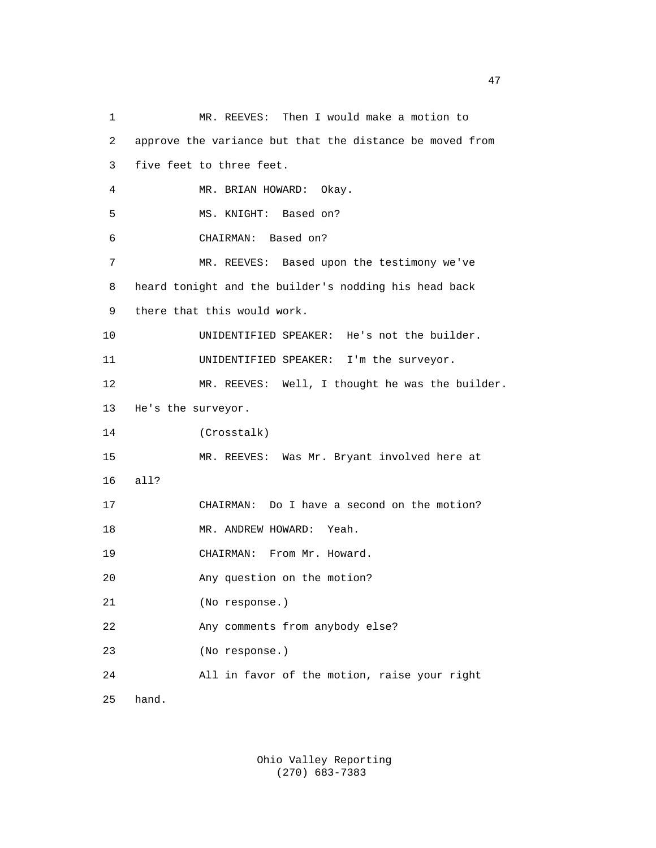| $\mathbf 1$    | MR. REEVES: Then I would make a motion to                |
|----------------|----------------------------------------------------------|
| $\overline{a}$ | approve the variance but that the distance be moved from |
| 3              | five feet to three feet.                                 |
| 4              | MR. BRIAN HOWARD: Okay.                                  |
| 5              | MS. KNIGHT: Based on?                                    |
| 6              | CHAIRMAN: Based on?                                      |
| 7              | MR. REEVES: Based upon the testimony we've               |
| 8              | heard tonight and the builder's nodding his head back    |
| 9              | there that this would work.                              |
| 10             | UNIDENTIFIED SPEAKER: He's not the builder.              |
| 11             | UNIDENTIFIED SPEAKER: I'm the surveyor.                  |
| 12             | MR. REEVES: Well, I thought he was the builder.          |
| 13             | He's the surveyor.                                       |
| 14             | (Crosstalk)                                              |
| 15             | MR. REEVES: Was Mr. Bryant involved here at              |
| 16             | all?                                                     |
| 17             | CHAIRMAN: Do I have a second on the motion?              |
| 18             | MR. ANDREW HOWARD: Yeah.                                 |
| 19             | CHAIRMAN: From Mr. Howard.                               |
| 20             | Any question on the motion?                              |
| 21             | (No response.)                                           |
| 22             | Any comments from anybody else?                          |
| 23             | (No response.)                                           |
| 24             | All in favor of the motion, raise your right             |
| 25             | hand.                                                    |

 Ohio Valley Reporting (270) 683-7383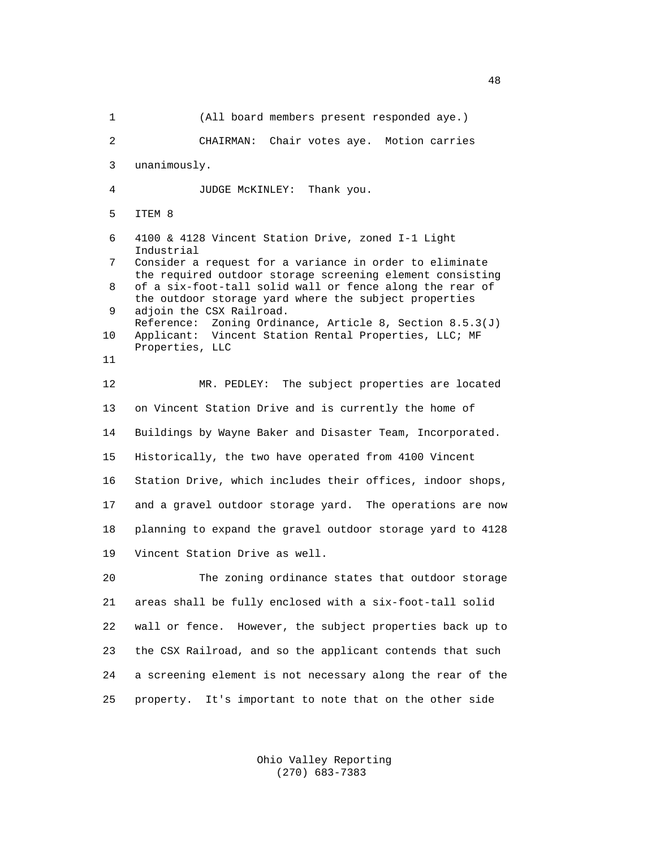1 (All board members present responded aye.) 2 CHAIRMAN: Chair votes aye. Motion carries 3 unanimously. 4 JUDGE McKINLEY: Thank you. 5 ITEM 8 6 4100 & 4128 Vincent Station Drive, zoned I-1 Light Industrial<br>7 Consider a Consider a request for a variance in order to eliminate the required outdoor storage screening element consisting 8 of a six-foot-tall solid wall or fence along the rear of the outdoor storage yard where the subject properties<br>9 adjoin the CSX Railroad. adjoin the CSX Railroad. Reference: Zoning Ordinance, Article 8, Section 8.5.3(J)<br>10 Applicant: Vincent Station Rental Properties, LLC; MF Applicant: Vincent Station Rental Properties, LLC; MF Properties, LLC 11 12 MR. PEDLEY: The subject properties are located 13 on Vincent Station Drive and is currently the home of 14 Buildings by Wayne Baker and Disaster Team, Incorporated. 15 Historically, the two have operated from 4100 Vincent 16 Station Drive, which includes their offices, indoor shops, 17 and a gravel outdoor storage yard. The operations are now 18 planning to expand the gravel outdoor storage yard to 4128 19 Vincent Station Drive as well. 20 The zoning ordinance states that outdoor storage 21 areas shall be fully enclosed with a six-foot-tall solid 22 wall or fence. However, the subject properties back up to 23 the CSX Railroad, and so the applicant contends that such 24 a screening element is not necessary along the rear of the 25 property. It's important to note that on the other side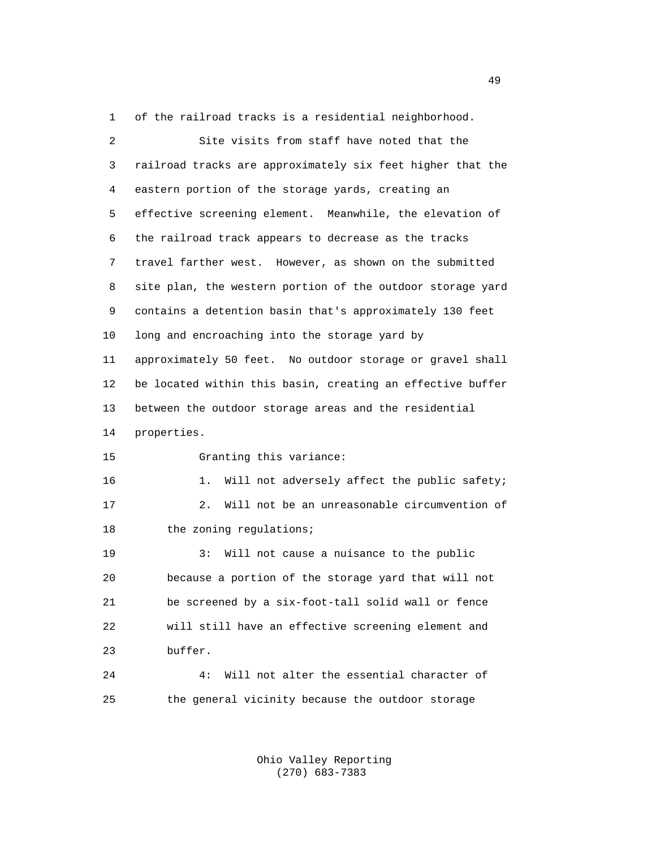1 of the railroad tracks is a residential neighborhood.

| $\overline{2}$ | Site visits from staff have noted that the                 |
|----------------|------------------------------------------------------------|
| 3              | railroad tracks are approximately six feet higher that the |
| 4              | eastern portion of the storage yards, creating an          |
| 5              | effective screening element. Meanwhile, the elevation of   |
| 6              | the railroad track appears to decrease as the tracks       |
| 7              | travel farther west. However, as shown on the submitted    |
| 8              | site plan, the western portion of the outdoor storage yard |
| 9              | contains a detention basin that's approximately 130 feet   |
| 10             | long and encroaching into the storage yard by              |
| 11             | approximately 50 feet. No outdoor storage or gravel shall  |
| 12             | be located within this basin, creating an effective buffer |
| 13             | between the outdoor storage areas and the residential      |
| 14             | properties.                                                |
| 15             | Granting this variance:                                    |
| 16             | Will not adversely affect the public safety;<br>$1$ .      |
| 17             | Will not be an unreasonable circumvention of<br>2.         |
| 18             | the zoning regulations;                                    |
| 19             | 3:<br>Will not cause a nuisance to the public              |
| 20             | because a portion of the storage yard that will not        |
| 21             | be screened by a six-foot-tall solid wall or fence         |
| 22             | will still have an effective screening element and         |
| 23             | buffer.                                                    |
| 24             | Will not alter the essential character of<br>4 :           |
| 25             | the general vicinity because the outdoor storage           |

 Ohio Valley Reporting (270) 683-7383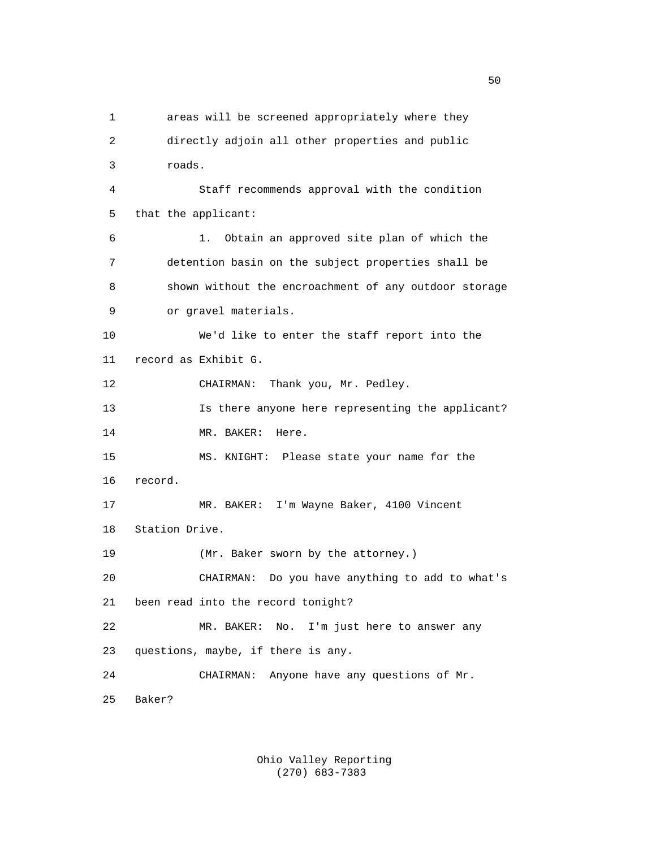1 areas will be screened appropriately where they 2 directly adjoin all other properties and public 3 roads. 4 Staff recommends approval with the condition 5 that the applicant: 6 1. Obtain an approved site plan of which the 7 detention basin on the subject properties shall be 8 shown without the encroachment of any outdoor storage 9 or gravel materials. 10 We'd like to enter the staff report into the 11 record as Exhibit G. 12 CHAIRMAN: Thank you, Mr. Pedley. 13 Is there anyone here representing the applicant? 14 MR. BAKER: Here. 15 MS. KNIGHT: Please state your name for the 16 record. 17 MR. BAKER: I'm Wayne Baker, 4100 Vincent 18 Station Drive. 19 (Mr. Baker sworn by the attorney.) 20 CHAIRMAN: Do you have anything to add to what's 21 been read into the record tonight? 22 MR. BAKER: No. I'm just here to answer any 23 questions, maybe, if there is any. 24 CHAIRMAN: Anyone have any questions of Mr. 25 Baker?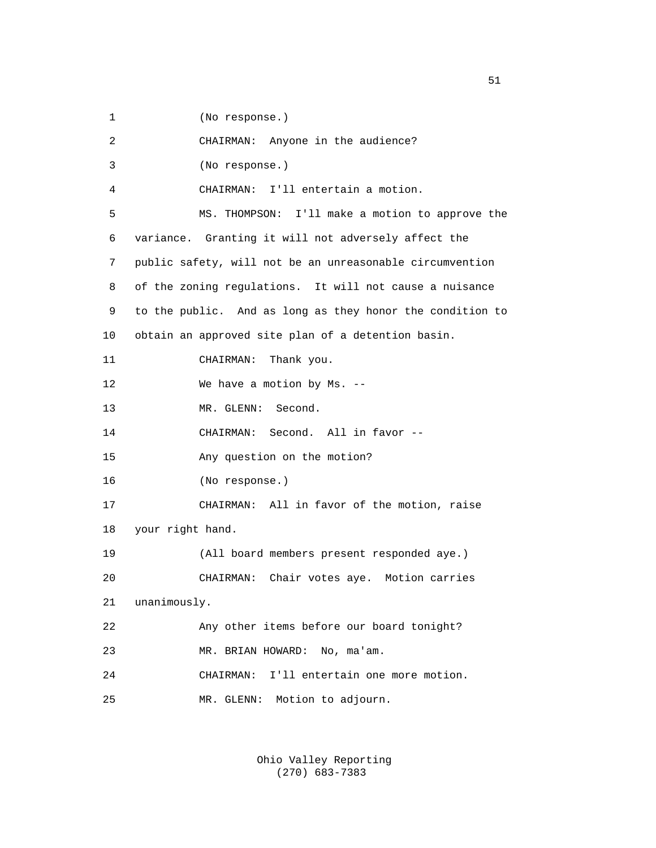1 (No response.)

| 2  | CHAIRMAN: Anyone in the audience?                         |
|----|-----------------------------------------------------------|
| 3  | (No response.)                                            |
| 4  | CHAIRMAN: I'll entertain a motion.                        |
| 5  | MS. THOMPSON: I'll make a motion to approve the           |
| 6  | variance. Granting it will not adversely affect the       |
| 7  | public safety, will not be an unreasonable circumvention  |
| 8  | of the zoning regulations. It will not cause a nuisance   |
| 9  | to the public. And as long as they honor the condition to |
| 10 | obtain an approved site plan of a detention basin.        |
| 11 | Thank you.<br>CHAIRMAN:                                   |
| 12 | We have a motion by Ms. --                                |
| 13 | MR. GLENN: Second.                                        |
| 14 | CHAIRMAN: Second. All in favor --                         |
| 15 | Any question on the motion?                               |
| 16 | (No response.)                                            |
| 17 | CHAIRMAN: All in favor of the motion, raise               |
| 18 | your right hand.                                          |
| 19 | (All board members present responded aye.)                |
| 20 | Chair votes aye. Motion carries<br>CHAIRMAN:              |
| 21 | unanimously.                                              |
| 22 | Any other items before our board tonight?                 |
| 23 | MR. BRIAN HOWARD:<br>No, ma'am.                           |
| 24 | I'll entertain one more motion.<br>CHAIRMAN:              |
| 25 | Motion to adjourn.<br>MR. GLENN:                          |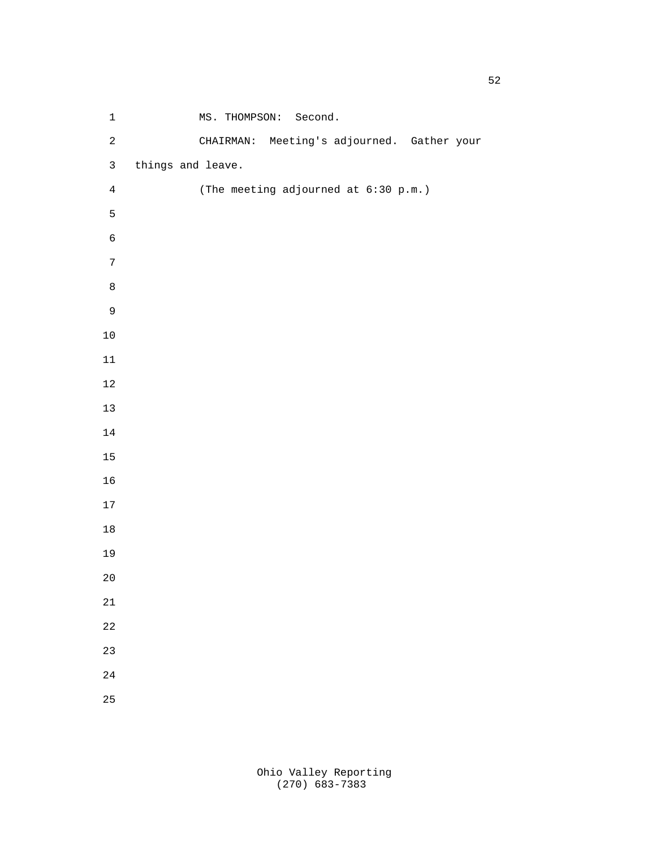| $\ensuremath{\mathsf{1}}$ | MS. THOMPSON: Second.                      |
|---------------------------|--------------------------------------------|
| $\sqrt{2}$                | CHAIRMAN: Meeting's adjourned. Gather your |
| $\mathfrak{Z}$            | things and leave.                          |
| $\overline{4}$            | (The meeting adjourned at 6:30 p.m.)       |
| 5                         |                                            |
| $\epsilon$                |                                            |
| $\boldsymbol{7}$          |                                            |
| $\,8\,$                   |                                            |
| $\mathsf 9$               |                                            |
| $10\,$                    |                                            |
| $11\,$                    |                                            |
| $12\,$                    |                                            |
| $13\,$                    |                                            |
| $14\,$                    |                                            |
| 15                        |                                            |
| 16                        |                                            |
| $17\,$                    |                                            |
| $18\,$                    |                                            |
| 19                        |                                            |
| $20$                      |                                            |
| 21                        |                                            |
| 22                        |                                            |
| 23                        |                                            |
| $2\sqrt{4}$               |                                            |
| 25                        |                                            |